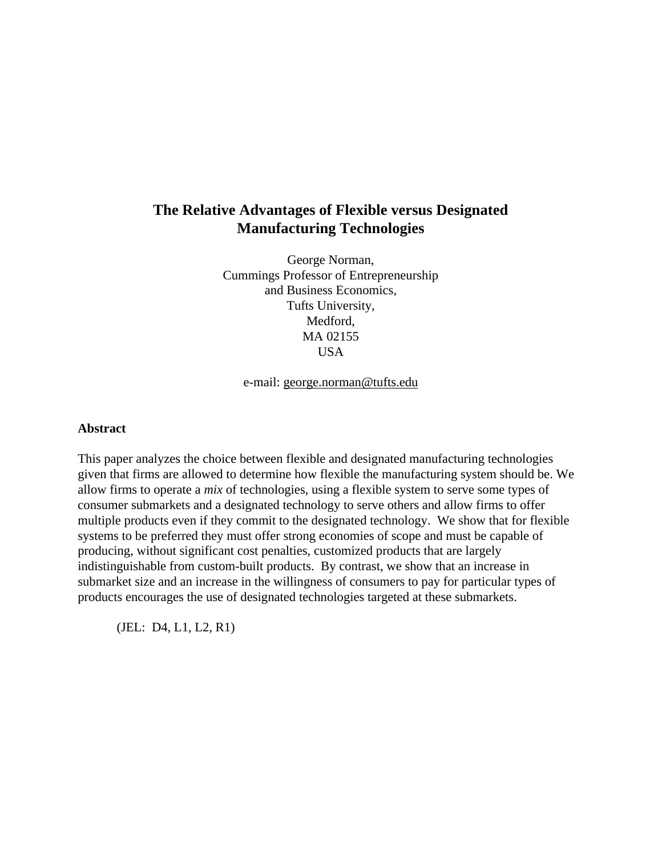# **The Relative Advantages of Flexible versus Designated Manufacturing Technologies**

George Norman, Cummings Professor of Entrepreneurship and Business Economics, Tufts University, Medford, MA 02155 USA

e-mail: george.norman@tufts.edu

#### **Abstract**

This paper analyzes the choice between flexible and designated manufacturing technologies given that firms are allowed to determine how flexible the manufacturing system should be. We allow firms to operate a *mix* of technologies, using a flexible system to serve some types of consumer submarkets and a designated technology to serve others and allow firms to offer multiple products even if they commit to the designated technology. We show that for flexible systems to be preferred they must offer strong economies of scope and must be capable of producing, without significant cost penalties, customized products that are largely indistinguishable from custom-built products. By contrast, we show that an increase in submarket size and an increase in the willingness of consumers to pay for particular types of products encourages the use of designated technologies targeted at these submarkets.

(JEL: D4, L1, L2, R1)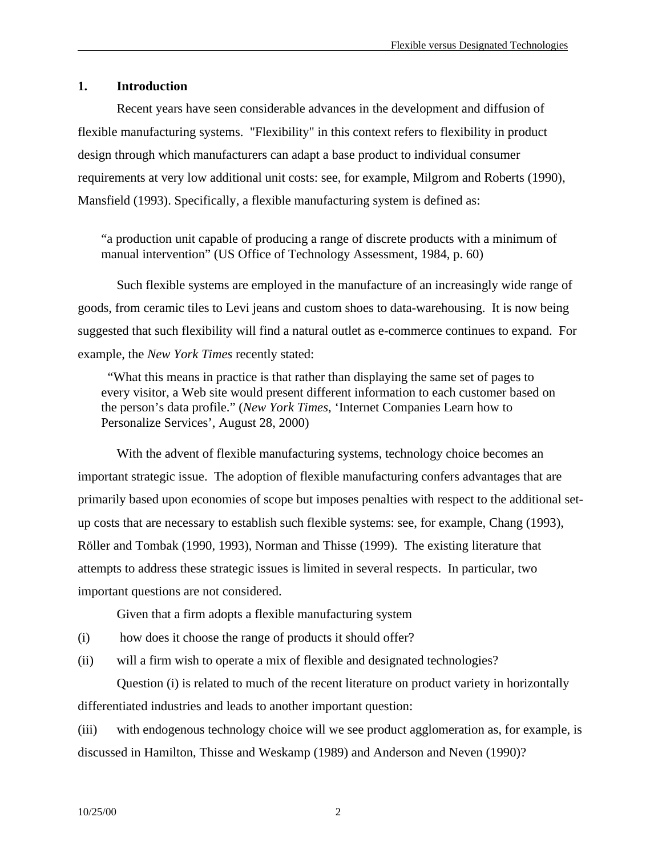### **1. Introduction**

Recent years have seen considerable advances in the development and diffusion of flexible manufacturing systems. "Flexibility" in this context refers to flexibility in product design through which manufacturers can adapt a base product to individual consumer requirements at very low additional unit costs: see, for example, Milgrom and Roberts (1990), Mansfield (1993). Specifically, a flexible manufacturing system is defined as:

"a production unit capable of producing a range of discrete products with a minimum of manual intervention" (US Office of Technology Assessment, 1984, p. 60)

Such flexible systems are employed in the manufacture of an increasingly wide range of goods, from ceramic tiles to Levi jeans and custom shoes to data-warehousing. It is now being suggested that such flexibility will find a natural outlet as e-commerce continues to expand. For example, the *New York Times* recently stated:

 "What this means in practice is that rather than displaying the same set of pages to every visitor, a Web site would present different information to each customer based on the person's data profile." (*New York Times*, 'Internet Companies Learn how to Personalize Services', August 28, 2000)

With the advent of flexible manufacturing systems, technology choice becomes an important strategic issue. The adoption of flexible manufacturing confers advantages that are primarily based upon economies of scope but imposes penalties with respect to the additional setup costs that are necessary to establish such flexible systems: see, for example, Chang (1993), Röller and Tombak (1990, 1993), Norman and Thisse (1999). The existing literature that attempts to address these strategic issues is limited in several respects. In particular, two important questions are not considered.

Given that a firm adopts a flexible manufacturing system

(i) how does it choose the range of products it should offer?

(ii) will a firm wish to operate a mix of flexible and designated technologies?

Question (i) is related to much of the recent literature on product variety in horizontally differentiated industries and leads to another important question:

(iii) with endogenous technology choice will we see product agglomeration as, for example, is discussed in Hamilton, Thisse and Weskamp (1989) and Anderson and Neven (1990)?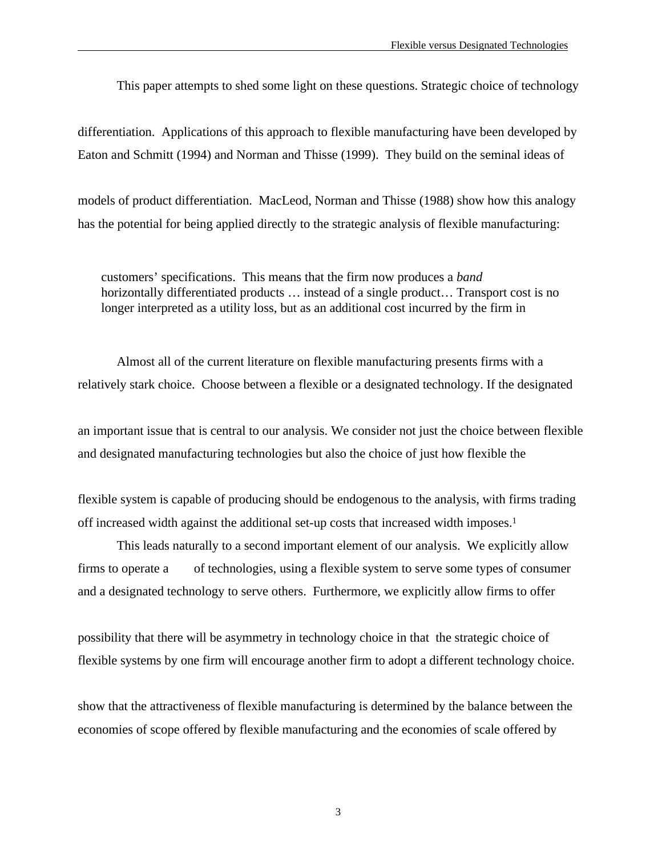This paper attempts to shed some light on these questions. Strategic choice of technology

differentiation. Applications of this approach to flexible manufacturing have been developed by Eaton and Schmitt (1994) and Norman and Thisse (1999). They build on the seminal ideas of

models of product differentiation. MacLeod, Norman and Thisse (1988) show how this analogy has the potential for being applied directly to the strategic analysis of flexible manufacturing:

customers' specifications. This means that the firm now produces a *band* horizontally differentiated products ... instead of a single product... Transport cost is no longer interpreted as a utility loss, but as an additional cost incurred by the firm in

Almost all of the current literature on flexible manufacturing presents firms with a relatively stark choice. Choose between a flexible or a designated technology. If the designated

an important issue that is central to our analysis. We consider not just the choice between flexible and designated manufacturing technologies but also the choice of just how flexible the

flexible system is capable of producing should be endogenous to the analysis, with firms trading off increased width against the additional set-up costs that increased width imposes.<sup>1</sup>

This leads naturally to a second important element of our analysis. We explicitly allow firms to operate a of technologies, using a flexible system to serve some types of consumer and a designated technology to serve others. Furthermore, we explicitly allow firms to offer

possibility that there will be asymmetry in technology choice in that the strategic choice of flexible systems by one firm will encourage another firm to adopt a different technology choice.

show that the attractiveness of flexible manufacturing is determined by the balance between the economies of scope offered by flexible manufacturing and the economies of scale offered by

3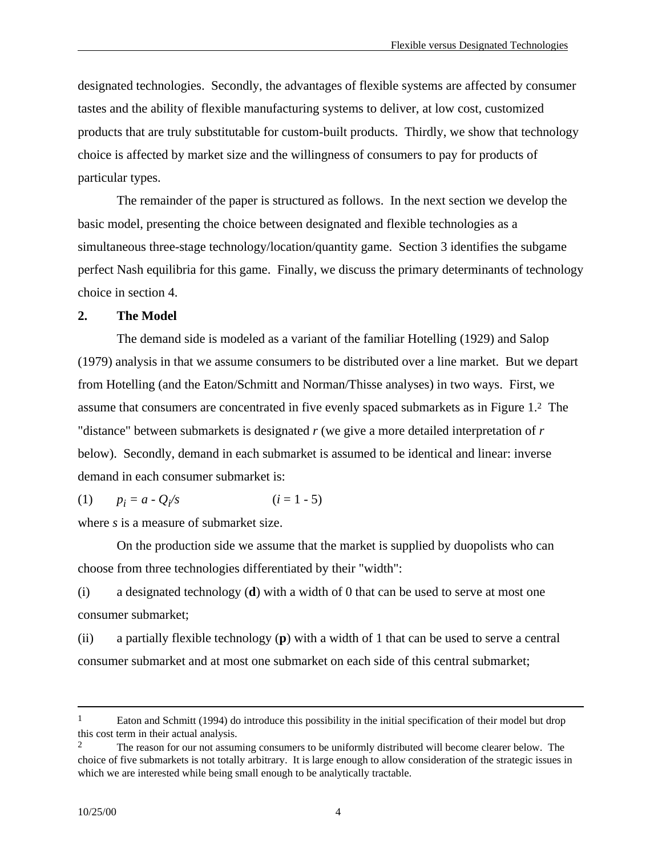designated technologies. Secondly, the advantages of flexible systems are affected by consumer tastes and the ability of flexible manufacturing systems to deliver, at low cost, customized products that are truly substitutable for custom-built products. Thirdly, we show that technology choice is affected by market size and the willingness of consumers to pay for products of particular types.

The remainder of the paper is structured as follows. In the next section we develop the basic model, presenting the choice between designated and flexible technologies as a simultaneous three-stage technology/location/quantity game. Section 3 identifies the subgame perfect Nash equilibria for this game. Finally, we discuss the primary determinants of technology choice in section 4.

#### **2. The Model**

The demand side is modeled as a variant of the familiar Hotelling (1929) and Salop (1979) analysis in that we assume consumers to be distributed over a line market. But we depart from Hotelling (and the Eaton/Schmitt and Norman/Thisse analyses) in two ways. First, we assume that consumers are concentrated in five evenly spaced submarkets as in Figure 1.2 The "distance" between submarkets is designated *r* (we give a more detailed interpretation of *r* below). Secondly, demand in each submarket is assumed to be identical and linear: inverse demand in each consumer submarket is:

(1) 
$$
p_i = a - Q_i/s
$$
  $(i = 1 - 5)$ 

where *s* is a measure of submarket size.

On the production side we assume that the market is supplied by duopolists who can choose from three technologies differentiated by their "width":

(i) a designated technology (**d**) with a width of 0 that can be used to serve at most one consumer submarket;

(ii) a partially flexible technology (**p**) with a width of 1 that can be used to serve a central consumer submarket and at most one submarket on each side of this central submarket;

<sup>&</sup>lt;sup>1</sup> Eaton and Schmitt (1994) do introduce this possibility in the initial specification of their model but drop this cost term in their actual analysis.

<sup>&</sup>lt;sup>2</sup> The reason for our not assuming consumers to be uniformly distributed will become clearer below. The choice of five submarkets is not totally arbitrary. It is large enough to allow consideration of the strategic issues in which we are interested while being small enough to be analytically tractable.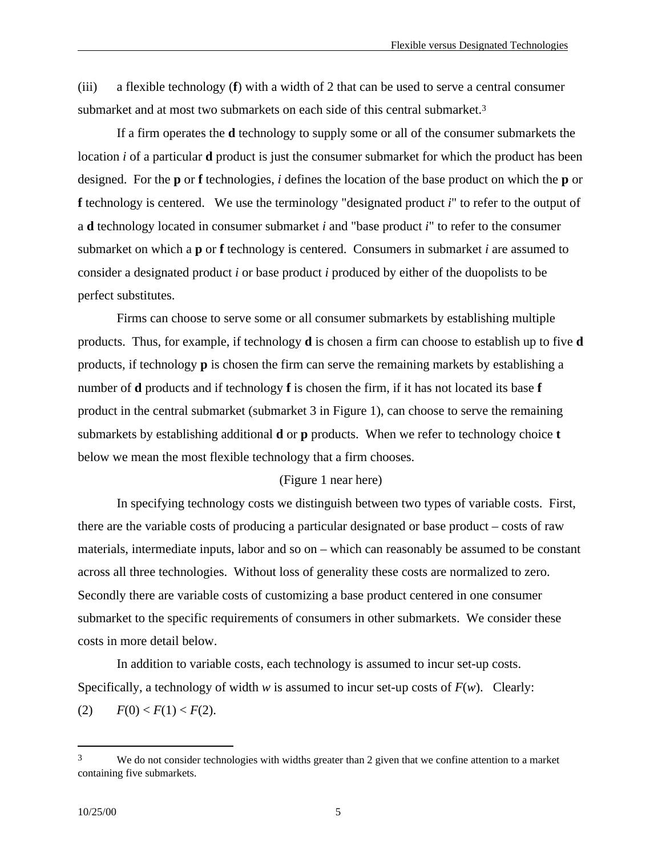(iii) a flexible technology (**f**) with a width of 2 that can be used to serve a central consumer submarket and at most two submarkets on each side of this central submarket.<sup>3</sup>

If a firm operates the **d** technology to supply some or all of the consumer submarkets the location *i* of a particular **d** product is just the consumer submarket for which the product has been designed. For the **p** or **f** technologies, *i* defines the location of the base product on which the **p** or **f** technology is centered. We use the terminology "designated product *i*" to refer to the output of a **d** technology located in consumer submarket *i* and "base product *i*" to refer to the consumer submarket on which a **p** or **f** technology is centered. Consumers in submarket *i* are assumed to consider a designated product *i* or base product *i* produced by either of the duopolists to be perfect substitutes.

Firms can choose to serve some or all consumer submarkets by establishing multiple products. Thus, for example, if technology **d** is chosen a firm can choose to establish up to five **d** products, if technology **p** is chosen the firm can serve the remaining markets by establishing a number of **d** products and if technology **f** is chosen the firm, if it has not located its base **f** product in the central submarket (submarket 3 in Figure 1), can choose to serve the remaining submarkets by establishing additional **d** or **p** products. When we refer to technology choice **t** below we mean the most flexible technology that a firm chooses.

#### (Figure 1 near here)

In specifying technology costs we distinguish between two types of variable costs. First, there are the variable costs of producing a particular designated or base product – costs of raw materials, intermediate inputs, labor and so on – which can reasonably be assumed to be constant across all three technologies. Without loss of generality these costs are normalized to zero. Secondly there are variable costs of customizing a base product centered in one consumer submarket to the specific requirements of consumers in other submarkets. We consider these costs in more detail below.

In addition to variable costs, each technology is assumed to incur set-up costs. Specifically, a technology of width *w* is assumed to incur set-up costs of *F*(*w*). Clearly: (2)  $F(0) < F(1) < F(2)$ .

<sup>&</sup>lt;sup>3</sup> We do not consider technologies with widths greater than 2 given that we confine attention to a market containing five submarkets.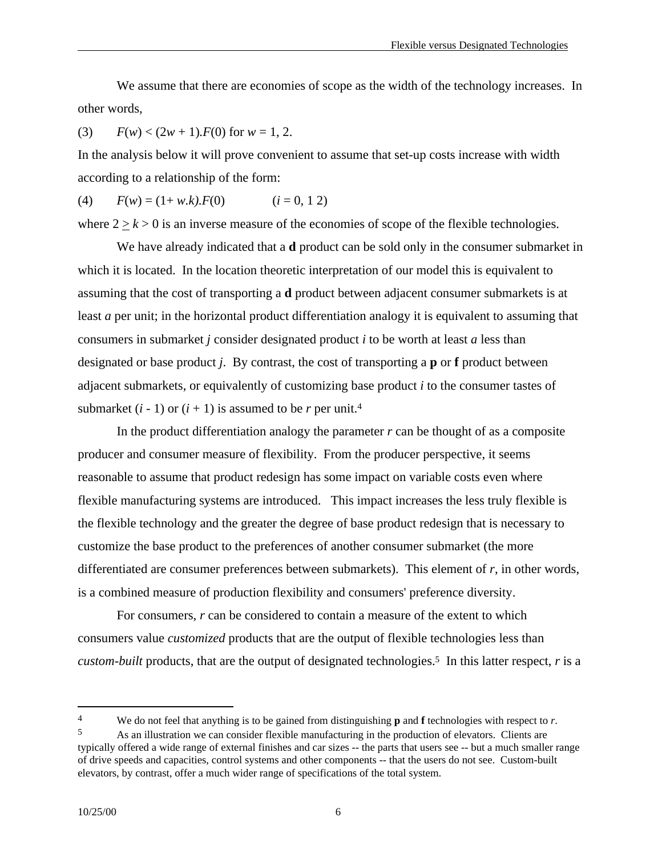We assume that there are economies of scope as the width of the technology increases. In other words,

(3)  $F(w) < (2w + 1) \cdot F(0)$  for  $w = 1, 2$ .

In the analysis below it will prove convenient to assume that set-up costs increase with width according to a relationship of the form:

(4)  $F(w) = (1 + w.k) \cdot F(0)$   $(i = 0, 1, 2)$ 

where  $2 \ge k > 0$  is an inverse measure of the economies of scope of the flexible technologies.

We have already indicated that a **d** product can be sold only in the consumer submarket in which it is located. In the location theoretic interpretation of our model this is equivalent to assuming that the cost of transporting a **d** product between adjacent consumer submarkets is at least *a* per unit; in the horizontal product differentiation analogy it is equivalent to assuming that consumers in submarket *j* consider designated product *i* to be worth at least *a* less than designated or base product *j*. By contrast, the cost of transporting a **p** or **f** product between adjacent submarkets, or equivalently of customizing base product *i* to the consumer tastes of submarket  $(i - 1)$  or  $(i + 1)$  is assumed to be *r* per unit.<sup>4</sup>

In the product differentiation analogy the parameter *r* can be thought of as a composite producer and consumer measure of flexibility. From the producer perspective, it seems reasonable to assume that product redesign has some impact on variable costs even where flexible manufacturing systems are introduced. This impact increases the less truly flexible is the flexible technology and the greater the degree of base product redesign that is necessary to customize the base product to the preferences of another consumer submarket (the more differentiated are consumer preferences between submarkets). This element of *r*, in other words, is a combined measure of production flexibility and consumers' preference diversity.

For consumers, *r* can be considered to contain a measure of the extent to which consumers value *customized* products that are the output of flexible technologies less than *custom-built* products, that are the output of designated technologies.5 In this latter respect, *r* is a

<sup>4</sup> We do not feel that anything is to be gained from distinguishing **p** and **f** technologies with respect to *r*. 5 As an illustration we can consider flexible manufacturing in the production of elevators. Clients are

typically offered a wide range of external finishes and car sizes -- the parts that users see -- but a much smaller range of drive speeds and capacities, control systems and other components -- that the users do not see. Custom-built elevators, by contrast, offer a much wider range of specifications of the total system.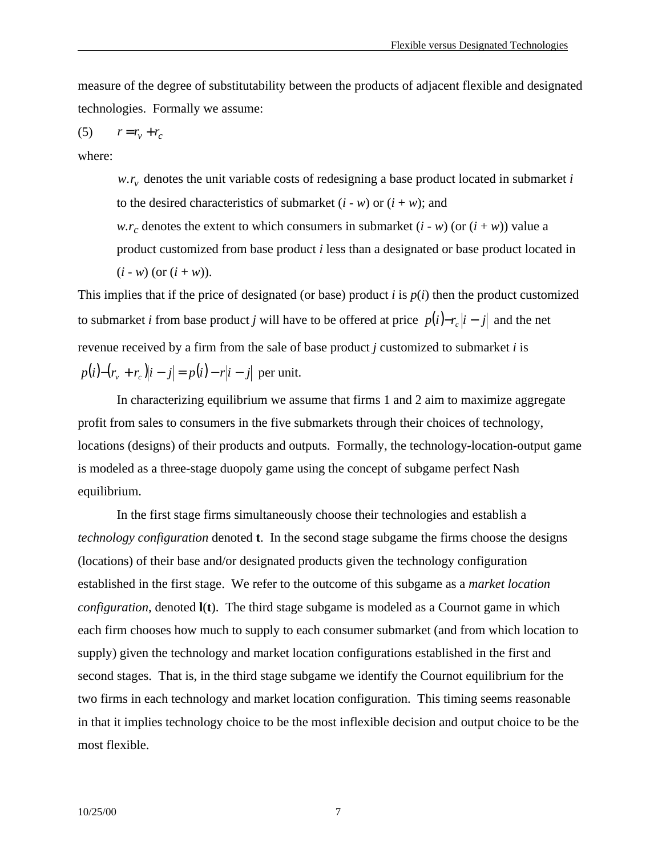measure of the degree of substitutability between the products of adjacent flexible and designated technologies. Formally we assume:

$$
(5) \qquad r = r_v + r_c
$$

where:

 $w.r_v$  denotes the unit variable costs of redesigning a base product located in submarket *i* to the desired characteristics of submarket  $(i - w)$  or  $(i + w)$ ; and *w.r<sub>c</sub>* denotes the extent to which consumers in submarket  $(i - w)$  (or  $(i + w)$ ) value a product customized from base product *i* less than a designated or base product located in

 $(i - w)$  (or  $(i + w)$ ).

This implies that if the price of designated (or base) product *i* is *p*(*i*) then the product customized to submarket *i* from base product *j* will have to be offered at price  $p(i) - r_c|i - j|$  and the net revenue received by a firm from the sale of base product *j* customized to submarket *i* is *p*(*i*) –  $(r_v + r_c)|i - j| = p(i) - r|i - j|$  per unit.

In characterizing equilibrium we assume that firms 1 and 2 aim to maximize aggregate profit from sales to consumers in the five submarkets through their choices of technology, locations (designs) of their products and outputs. Formally, the technology-location-output game is modeled as a three-stage duopoly game using the concept of subgame perfect Nash equilibrium.

In the first stage firms simultaneously choose their technologies and establish a *technology configuration* denoted **t**. In the second stage subgame the firms choose the designs (locations) of their base and/or designated products given the technology configuration established in the first stage. We refer to the outcome of this subgame as a *market location configuration*, denoted **l**(**t**). The third stage subgame is modeled as a Cournot game in which each firm chooses how much to supply to each consumer submarket (and from which location to supply) given the technology and market location configurations established in the first and second stages. That is, in the third stage subgame we identify the Cournot equilibrium for the two firms in each technology and market location configuration. This timing seems reasonable in that it implies technology choice to be the most inflexible decision and output choice to be the most flexible.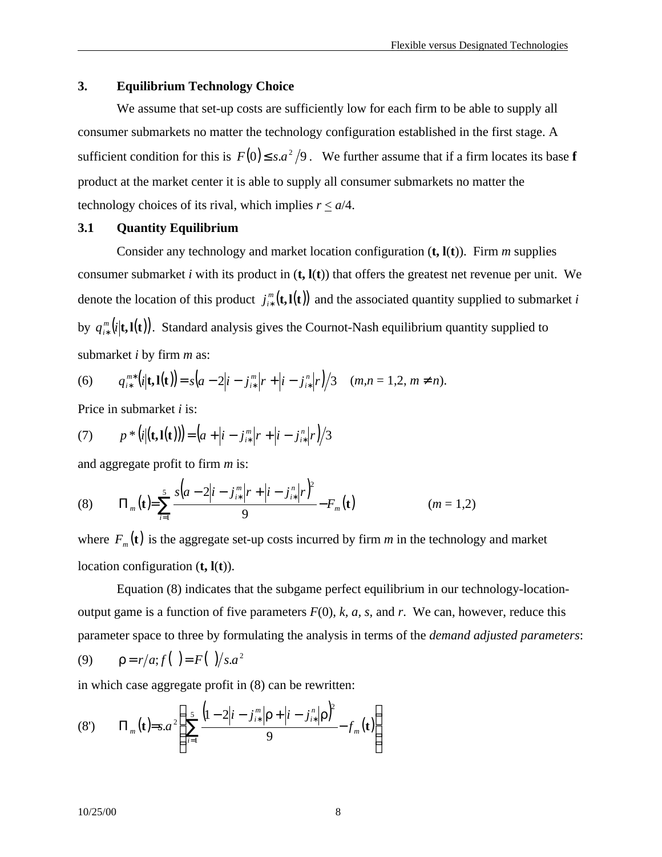#### **3. Equilibrium Technology Choice**

We assume that set-up costs are sufficiently low for each firm to be able to supply all consumer submarkets no matter the technology configuration established in the first stage. A sufficient condition for this is  $F(0) \leq s.a^2/9$ . We further assume that if a firm locates its base **f** product at the market center it is able to supply all consumer submarkets no matter the technology choices of its rival, which implies  $r < a/4$ .

#### **3.1 Quantity Equilibrium**

Consider any technology and market location configuration (**t, l**(**t**)). Firm *m* supplies consumer submarket *i* with its product in  $(t, l(t))$  that offers the greatest net revenue per unit. We denote the location of this product  $j_{i*}^{m}(\mathbf{t}, \mathbf{l}(\mathbf{t}))$  $j^m_{i*}(\mathbf{t},\mathbf{l}(\mathbf{t}))$  and the associated quantity supplied to submarket *i* by  $q_{i*}^m(i|\mathbf{t},\mathbf{l}(\mathbf{t}))$ <sup>m</sup>(i|**t,1(t**)). Standard analysis gives the Cournot-Nash equilibrium quantity supplied to submarket *i* by firm *m* as:

(6) 
$$
q_{i*}^{m*}(i|\mathbf{t},\mathbf{l}(\mathbf{t}))=s\big(a-2\big|i-j_{i*}^{m}\big|r+\big|i-j_{i*}^{n}\big|r\big|\big/3 \quad (m,n=1,2,\,m\neq n).
$$

Price in submarket *i* is:

(7) 
$$
p * (i|(\mathbf{t}, \mathbf{l}(\mathbf{t}))) = (a + |i - j^m_{i*}|r + |i - j^m_{i*}|r)/3
$$

and aggregate profit to firm *m* is:

(8) 
$$
\Pi_m(\mathbf{t}) = \sum_{i=1}^5 \frac{s(a-2|i-j_{i*}^m|r+|i-j_{i*}^n|r)^2}{9} - F_m(\mathbf{t})
$$
  $(m = 1,2)$ 

where  $F_m(\mathbf{t})$  is the aggregate set-up costs incurred by firm *m* in the technology and market location configuration (**t, l**(**t**)).

Equation (8) indicates that the subgame perfect equilibrium in our technology-locationoutput game is a function of five parameters  $F(0)$ ,  $k$ ,  $a$ ,  $s$ , and  $r$ . We can, however, reduce this parameter space to three by formulating the analysis in terms of the *demand adjusted parameters*: (9)  $\rho = r/a; f( ) = F( )/s.a^2$ 

in which case aggregate profit in (8) can be rewritten:

(8') 
$$
\Pi_m(\mathbf{t}) = s.a^2 \left( \sum_{i=1}^5 \frac{\left(1 - 2|i - j_{i*}^m | \mathbf{p} + |i - j_{i*}^n | \mathbf{p}\right)^2}{9} - f_m(\mathbf{t}) \right)
$$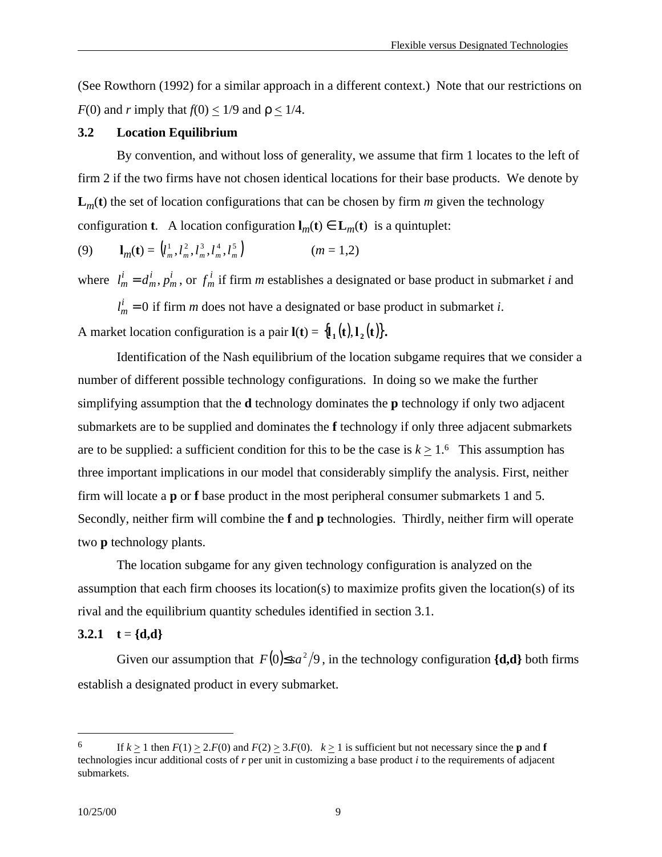(See Rowthorn (1992) for a similar approach in a different context.) Note that our restrictions on *F*(0) and *r* imply that  $f(0) < 1/9$  and  $\rho < 1/4$ .

#### **3.2 Location Equilibrium**

By convention, and without loss of generality, we assume that firm 1 locates to the left of firm 2 if the two firms have not chosen identical locations for their base products. We denote by  $L_m(t)$  the set of location configurations that can be chosen by firm *m* given the technology configuration **t**. A location configuration  $\mathbf{l}_m(\mathbf{t}) \in \mathbf{L}_m(\mathbf{t})$  is a quintuplet:

(9) 
$$
\mathbf{l}_m(\mathbf{t}) = (l_m^1, l_m^2, l_m^3, l_m^4, l_m^5) \qquad (m = 1, 2)
$$

where  $l_m^i = d_m^i, p_j$ *m i m*  $d = d_m^i, p_m^i$ , or  $f_m^i$  if firm *m* establishes a designated or base product in submarket *i* and

 $l_m^i = 0$  if firm *m* does not have a designated or base product in submarket *i*. A market location configuration is a pair  $\mathbf{l}(\mathbf{t}) = {\mathbf{l}_1(\mathbf{t}), \mathbf{l}_2(\mathbf{t})}.$ 

Identification of the Nash equilibrium of the location subgame requires that we consider a number of different possible technology configurations. In doing so we make the further simplifying assumption that the **d** technology dominates the **p** technology if only two adjacent submarkets are to be supplied and dominates the **f** technology if only three adjacent submarkets are to be supplied: a sufficient condition for this to be the case is  $k > 1.6$  This assumption has three important implications in our model that considerably simplify the analysis. First, neither firm will locate a **p** or **f** base product in the most peripheral consumer submarkets 1 and 5. Secondly, neither firm will combine the **f** and **p** technologies. Thirdly, neither firm will operate two **p** technology plants.

The location subgame for any given technology configuration is analyzed on the assumption that each firm chooses its location(s) to maximize profits given the location(s) of its rival and the equilibrium quantity schedules identified in section 3.1.

#### **3.2.1 t** =  $\{d,d\}$

Given our assumption that  $F(0) \leq sa^2/9$ , in the technology configuration  $\{d,d\}$  both firms establish a designated product in every submarket.

<sup>&</sup>lt;sup>6</sup> If  $k \ge 1$  then  $F(1) \ge 2.F(0)$  and  $F(2) \ge 3.F(0)$ .  $k \ge 1$  is sufficient but not necessary since the **p** and **f** technologies incur additional costs of *r* per unit in customizing a base product *i* to the requirements of adjacent submarkets.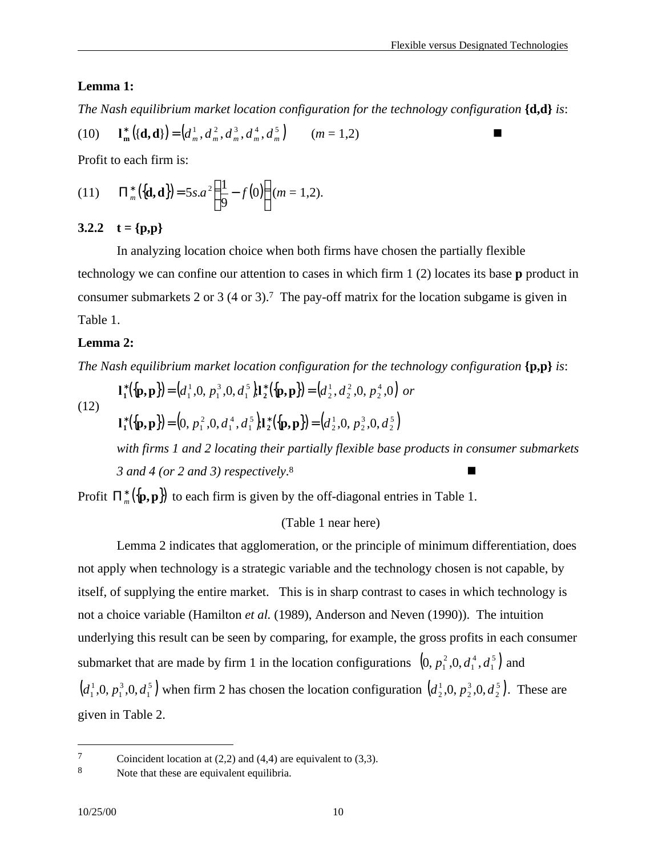#### **Lemma 1:**

*The Nash equilibrium market location configuration for the technology configuration* **{d,d}** *is*:

(10) 
$$
\mathbf{l}_{\mathbf{m}}^*\big((\mathbf{d},\mathbf{d})\big) = \big(d_m^1, d_m^2, d_m^3, d_m^4, d_m^5\big) \qquad (m = 1,2)
$$

Profit to each firm is:

(11) 
$$
\Pi_m^*({\{\mathbf{d},\mathbf{d}\}}) = 5s.a^2(\frac{1}{9} - f(0))(m = 1,2).
$$

#### 3.2.2  $t = {p,p}$

In analyzing location choice when both firms have chosen the partially flexible technology we can confine our attention to cases in which firm 1 (2) locates its base **p** product in consumer submarkets 2 or 3 (4 or 3).7 The pay-off matrix for the location subgame is given in Table 1.

#### **Lemma 2:**

*The Nash equilibrium market location configuration for the technology configuration* **{p,p}** *is*:

(12)

 $({\bf p},{\bf p})=(d_1^1,0,p_1^3,0,d_1^5){\bf l}_2^*({\bf p},{\bf p})=(d_2^1,d_2^2,0,p_2^4,0)$ 2 2 2 1 2 5 1 3 1 1  $\mathbf{d}_1^*({\{\mathbf{p},\mathbf{p}\}}) = (d_1^1, 0, p_1^3, 0, d_1^5) \mathbf{1}_2^*({\{\mathbf{p},\mathbf{p}\}}) = (d_2^1, d_2^2, 0, p_2^4, 0)$  or

$$
\mathbf{l}_1^*\left(\{\mathbf{p},\mathbf{p}\}\right) = (0, p_1^2, 0, d_1^4, d_1^5)\mathbf{l}_2^*\left(\{\mathbf{p},\mathbf{p}\}\right) = (d_2^1, 0, p_2^3, 0, d_2^5)
$$

*with firms 1 and 2 locating their partially flexible base products in consumer submarkets 3 and 4 (or 2 and 3) respectively*. 8 **n** 

Profit  $\Pi_{m}^{*}(\lbrace {\bf p},{\bf p} \rbrace)$  to each firm is given by the off-diagonal entries in Table 1.

#### (Table 1 near here)

Lemma 2 indicates that agglomeration, or the principle of minimum differentiation, does not apply when technology is a strategic variable and the technology chosen is not capable, by itself, of supplying the entire market. This is in sharp contrast to cases in which technology is not a choice variable (Hamilton *et al.* (1989), Anderson and Neven (1990)). The intuition underlying this result can be seen by comparing, for example, the gross profits in each consumer submarket that are made by firm 1 in the location configurations  $(0, p_1^2, 0, d_1^4, d_1^5)$ 1 4 1  $[0, p_1^2, 0, d_1^4, d_1^5]$  and  $(d_1^1, 0, p_1^3, 0, d_1^5)$ 1 3 1  $d_1^1, 0, p_1^3, 0, d_1^5$  when firm 2 has chosen the location configuration  $(d_2^1, 0, p_2^3, 0, d_2^5)$ . 2 3 2  $d_2^1, 0, p_2^3, 0, d_2^5$ . These are given in Table 2.

 $7$  Coincident location at (2,2) and (4,4) are equivalent to (3,3).

<sup>8</sup> Note that these are equivalent equilibria.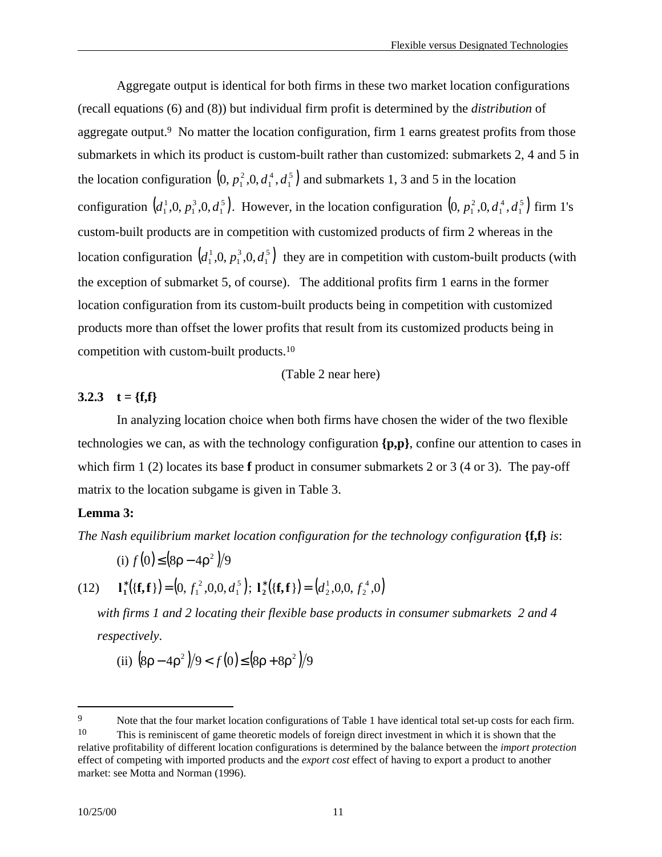Aggregate output is identical for both firms in these two market location configurations (recall equations (6) and (8)) but individual firm profit is determined by the *distribution* of aggregate output.9 No matter the location configuration, firm 1 earns greatest profits from those submarkets in which its product is custom-built rather than customized: submarkets 2, 4 and 5 in the location configuration  $(0, p_1^2, 0, d_1^4, d_1^5)$ 1 4 1  $(0, p_1^2, 0, d_1^4, d_1^5)$  and submarkets 1, 3 and 5 in the location configuration  $(d_1^1, 0, p_1^3, 0, d_1^5)$ . 1 3 1  $d_1^1, 0, p_1^3, 0, d_1^5$ . However, in the location configuration  $(0, p_1^2, 0, d_1^4, d_1^5)$ 1 4 1  $(0, p_1^2, 0, d_1^4, d_1^5)$  firm 1's custom-built products are in competition with customized products of firm 2 whereas in the location configuration  $(d_1^1, 0, p_1^3, 0, d_1^5)$ 1 3 1  $d_1^1, 0, p_1^3, 0, d_1^5$  they are in competition with custom-built products (with the exception of submarket 5, of course). The additional profits firm 1 earns in the former location configuration from its custom-built products being in competition with customized products more than offset the lower profits that result from its customized products being in competition with custom-built products.<sup>10</sup>

(Table 2 near here)

# **3.2.3 t** = {**f**,**f**}

In analyzing location choice when both firms have chosen the wider of the two flexible technologies we can, as with the technology configuration **{p,p}**, confine our attention to cases in which firm 1 (2) locates its base **f** product in consumer submarkets 2 or 3 (4 or 3). The pay-off matrix to the location subgame is given in Table 3.

#### **Lemma 3:**

*The Nash equilibrium market location configuration for the technology configuration* **{f,f}** *is*:

(i) 
$$
f(0) \le (8\rho - 4\rho^2)/9
$$
  
(12)  $\mathbf{l}_1^*({\mathbf{f}}, {\mathbf{f}}) = (0, f_1^2, 0, 0, d_1^5); \mathbf{l}_2^*({\mathbf{f}}, {\mathbf{f}}) = (d_2^1, 0, 0, f_2^4, 0)$ 

*with firms 1 and 2 locating their flexible base products in consumer submarkets 2 and 4 respectively*.

(ii) 
$$
(8\rho - 4\rho^2)/9 < f(0) \le (8\rho + 8\rho^2)/9
$$

<sup>&</sup>lt;sup>9</sup> Note that the four market location configurations of Table 1 have identical total set-up costs for each firm. <sup>10</sup> This is reminiscent of game theoretic models of foreign direct investment in which it is shown that the relative profitability of different location configurations is determined by the balance between the *import protection* effect of competing with imported products and the *export cost* effect of having to export a product to another market: see Motta and Norman (1996).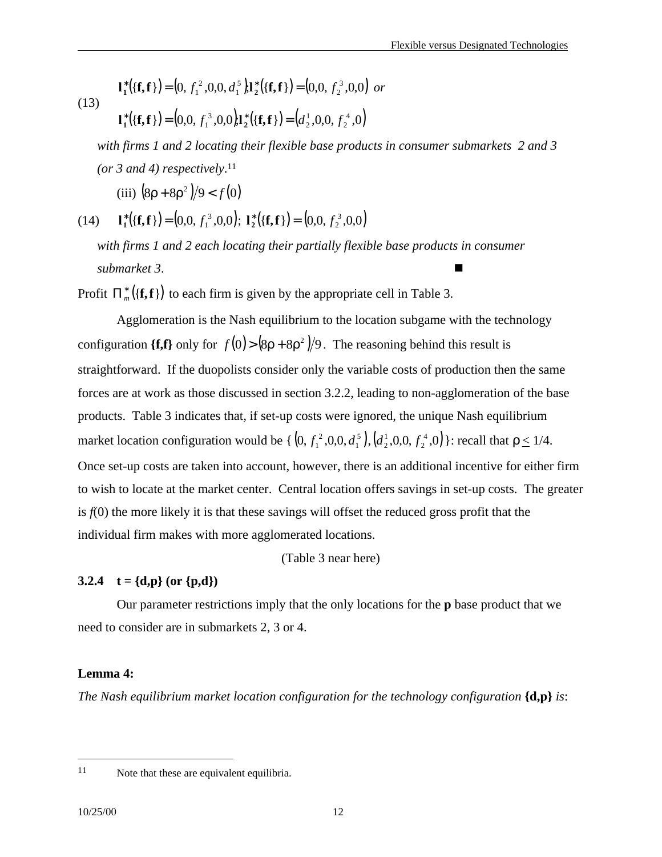(13) 
$$
\mathbf{l}_1^*({\mathbf{f}}, {\mathbf{f}}_1) = (0, f_1^2, 0, 0, d_1^5) \mathbf{l}_2^*({\mathbf{f}}, {\mathbf{f}}_1) = (0, 0, f_2^3, 0, 0) \text{ or } (13)
$$

$$
\mathbf{l}_1^*({\mathbf{f}}, {\mathbf{f}}) = (0, 0, f_1^3, 0, 0) \mathbf{l}_2^*({\mathbf{f}}, {\mathbf{f}}) = (d_2^1, 0, 0, f_2^4, 0)
$$

*with firms 1 and 2 locating their flexible base products in consumer submarkets 2 and 3 (or 3 and 4) respectively*. 11

(iii)  $\left(8\rho + 8\rho^2\right)/9 < f(0)$ 

(14)  ${\bf l}_1^*({\bf f},{\bf f}) = (0,0, f_1^3,0,0); {\bf l}_2^*({\bf f},{\bf f}) = (0,0, f_2^3,0,0)$  $f_2^2$ 

*with firms 1 and 2 each locating their partially flexible base products in consumer* submarket 3.

Profit  $\prod_{m}^{*}({\mathbf{f},{\mathbf{f}}})$  to each firm is given by the appropriate cell in Table 3.

Agglomeration is the Nash equilibrium to the location subgame with the technology configuration {f,f} only for  $f(0) > (8p + 8p^2)/9$ . The reasoning behind this result is straightforward. If the duopolists consider only the variable costs of production then the same forces are at work as those discussed in section 3.2.2, leading to non-agglomeration of the base products. Table 3 indicates that, if set-up costs were ignored, the unique Nash equilibrium market location configuration would be {  $(0, f_1^2, 0, 0, d_1^5)$ , 1  $[0, f_1^2, 0, 0, d_1^5], (d_2^1, 0, 0, f_2^4, 0)$ 2  $d_2^1, 0, 0, f_2^4, 0$  : recall that  $\rho \le 1/4$ . Once set-up costs are taken into account, however, there is an additional incentive for either firm to wish to locate at the market center. Central location offers savings in set-up costs. The greater is *f*(0) the more likely it is that these savings will offset the reduced gross profit that the individual firm makes with more agglomerated locations.

(Table 3 near here)

#### **3.2.4 t** =  $\{d,p\}$  (or  $\{p,d\}$ )

Our parameter restrictions imply that the only locations for the **p** base product that we need to consider are in submarkets 2, 3 or 4.

#### **Lemma 4:**

*The Nash equilibrium market location configuration for the technology configuration* **{d,p}** *is*:

<sup>11</sup> Note that these are equivalent equilibria.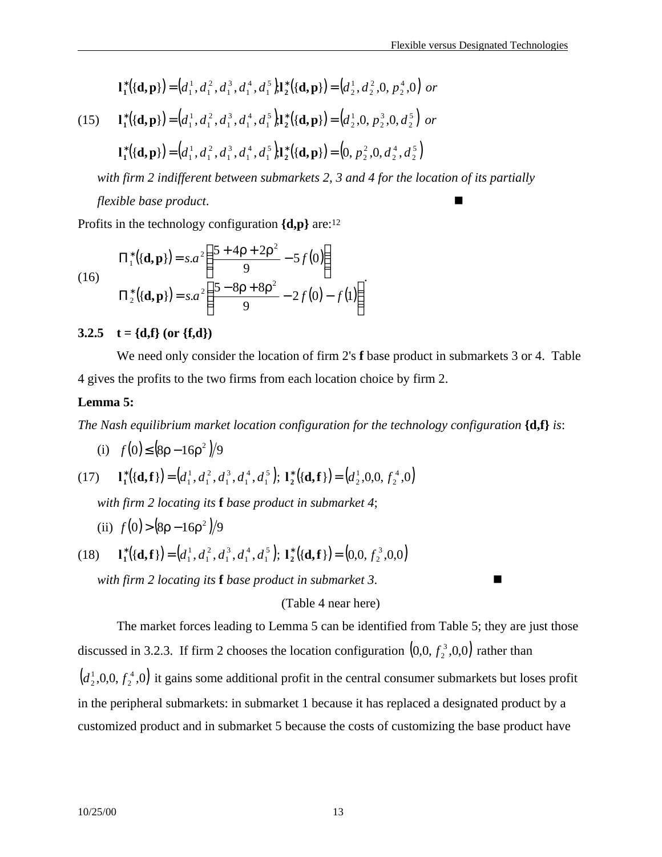2

2

2

$$
\mathbf{l}_1^*\big( \{\mathbf{d},\mathbf{p}\} \big) = \big( d_1^1, d_1^2, d_1^3, d_1^4, d_1^5 \big) \mathbf{l}_2^*\big( \{\mathbf{d},\mathbf{p}\} \big) = \big( d_2^1, d_2^2, 0, p_2^4, 0 \big) \text{ or }
$$

1

(15) 
$$
\mathbf{l}_1^* (\{\mathbf{d}, \mathbf{p}\}) = (d_1^1, d_1^2, d_1^3, d_1^4, d_1^5) \mathbf{l}_2^* (\{\mathbf{d}, \mathbf{p}\}) = (d_2^1, 0, p_2^3, 0, d_2^5) \text{ or }
$$

$$
\mathbf{l}_1^* (\{\mathbf{d}, \mathbf{p}\}) = (d_1^1, d_1^2, d_1^3, d_1^4, d_1^5) \mathbf{l}_2^* (\{\mathbf{d}, \mathbf{p}\}) = (0, p_2^2, 0, d_2^4, d_2^5)
$$

1

1

*with firm 2 indifferent between submarkets 2, 3 and 4 for the location of its partially flexible base product.* 

Profits in the technology configuration **{d,p}** are:<sup>12</sup>

1

(16)  
\n
$$
\Pi_1^*({\bf{d,p}}) = s.a^2 \left( \frac{5 + 4p + 2p^2}{9} - 5f(0) \right)
$$
\n
$$
\Pi_2^*({\bf{d,p}}) = s.a^2 \left( \frac{5 - 8p + 8p^2}{9} - 2f(0) - f(1) \right)
$$

#### **3.2.5 t** = {d,f} (or {f,d})

We need only consider the location of firm 2's **f** base product in submarkets 3 or 4. Table 4 gives the profits to the two firms from each location choice by firm 2.

#### **Lemma 5:**

*The Nash equilibrium market location configuration for the technology configuration* **{d,f}** *is*:

(i)  $f(0) ≤ (8p - 16p^2)/9$ 

(17) 
$$
\mathbf{l}_1^*\big(\{\mathbf{d},\mathbf{f}\}\big) = \big(d_1^1,d_1^2,d_1^3,d_1^4,d_1^5\big); \ \mathbf{l}_2^*\big(\{\mathbf{d},\mathbf{f}\}\big) = \big(d_2^1,0,0,f_2^4,0\big)
$$

*with firm 2 locating its* **f** *base product in submarket 4*;

- (ii)  $f(0) > (8p 16p^2)/9$
- (18)  $\mathbf{l}_1^*({\mathbf{d},\mathbf{f}}) = (d_1^1, d_1^2, d_1^3, d_1^4, d_1^5);$ 1 4 1 3 1 2 1 1  $\mathbf{d}_1^*$   $((\mathbf{d}, \mathbf{f}) = (d_1^1, d_1^2, d_1^3, d_1^4, d_1^5); \mathbf{1}_2^*$   $((\mathbf{d}, \mathbf{f}) = (0, 0, f_2^3, 0, 0))$  $f_2^2$ *with firm 2 locating its* **f** *base product in submarket 3*. n

(Table 4 near here)

The market forces leading to Lemma 5 can be identified from Table 5; they are just those discussed in 3.2.3. If firm 2 chooses the location configuration  $(0,0, f_2^3,0,0)$  $f_2^3$ ,0,0) rather than  $(d_2^1, 0, 0, f_2^4, 0)$ 2  $d_2^1$ ,0,0, $f_2^4$ ,0) it gains some additional profit in the central consumer submarkets but loses profit in the peripheral submarkets: in submarket 1 because it has replaced a designated product by a customized product and in submarket 5 because the costs of customizing the base product have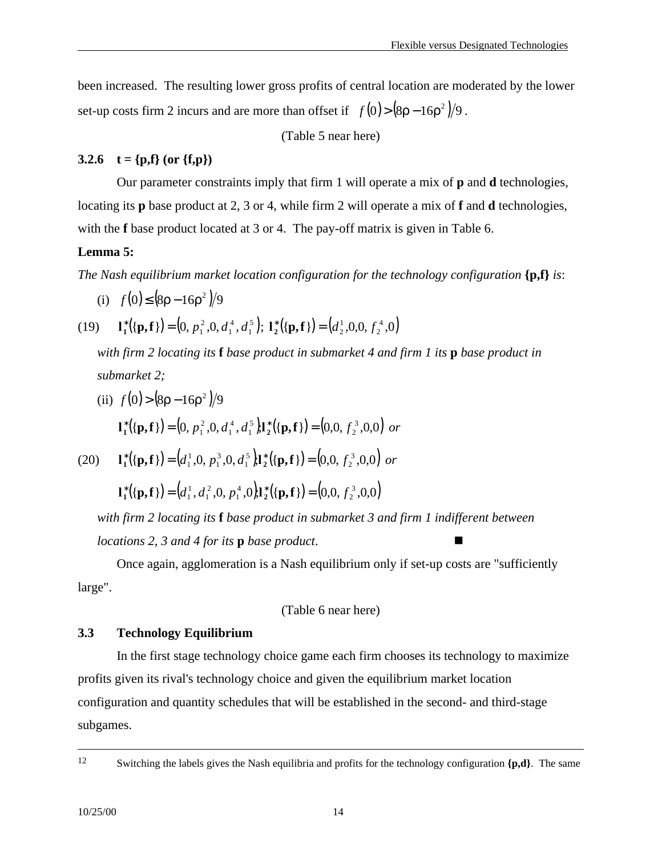been increased. The resulting lower gross profits of central location are moderated by the lower set-up costs firm 2 incurs and are more than offset if  $f(0) > (8p - 16p^2)/9$ .

(Table 5 near here)

# **3.2.6 t** = {p,f} (or {f,p})

Our parameter constraints imply that firm 1 will operate a mix of **p** and **d** technologies, locating its **p** base product at 2, 3 or 4, while firm 2 will operate a mix of **f** and **d** technologies, with the **f** base product located at 3 or 4. The pay-off matrix is given in Table 6.

## **Lemma 5:**

*The Nash equilibrium market location configuration for the technology configuration* **{p,f}** *is*:

(i) 
$$
f(0) \le (8\rho - 16\rho^2)/9
$$

(19) 
$$
\mathbf{l}_1^*({\mathbf{p}}, {\mathbf{f}}) = (0, p_1^2, 0, d_1^4, d_1^5); \mathbf{l}_2^*({\mathbf{p}}, {\mathbf{f}}) = (d_2^1, 0, 0, f_2^4, 0)
$$

*with firm 2 locating its* **f** *base product in submarket 4 and firm 1 its* **p** *base product in submarket 2;*

(ii) 
$$
f(0) > (8\rho - 16\rho^2)/9
$$
  
\n
$$
\mathbf{I}_1^*({\mathbf{p}}, {\mathbf{f}}) = (0, p_1^2, 0, d_1^4, d_1^5) \mathbf{I}_2^*({\mathbf{p}}, {\mathbf{f}}) = (0, 0, f_2^3, 0, 0) \text{ or }
$$

(20) 
$$
\mathbf{l}_1^*({\mathbf{p}}, {\mathbf{f}}) = (d_1^1, 0, p_1^3, 0, d_1^5) \mathbf{l}_2^*({\mathbf{p}}, {\mathbf{f}}) = (0, 0, f_2^3, 0, 0)
$$
 or

$$
\mathbf{l}_1^*\big(\{\mathbf{p},\mathbf{f}\}\big) = \big(d_1^1, d_1^2, 0, p_1^4, 0\big)\mathbf{l}_2^*\big(\{\mathbf{p},\mathbf{f}\}\big) = \big(0, 0, f_2^3, 0, 0\big)
$$

*with firm 2 locating its* **f** *base product in submarket 3 and firm 1 indifferent between locations 2, 3 and 4 for its p <i>base product.* 

Once again, agglomeration is a Nash equilibrium only if set-up costs are "sufficiently large".

(Table 6 near here)

# **3.3 Technology Equilibrium**

In the first stage technology choice game each firm chooses its technology to maximize profits given its rival's technology choice and given the equilibrium market location configuration and quantity schedules that will be established in the second- and third-stage subgames.

<sup>12</sup> Switching the labels gives the Nash equilibria and profits for the technology configuration **{p,d}**. The same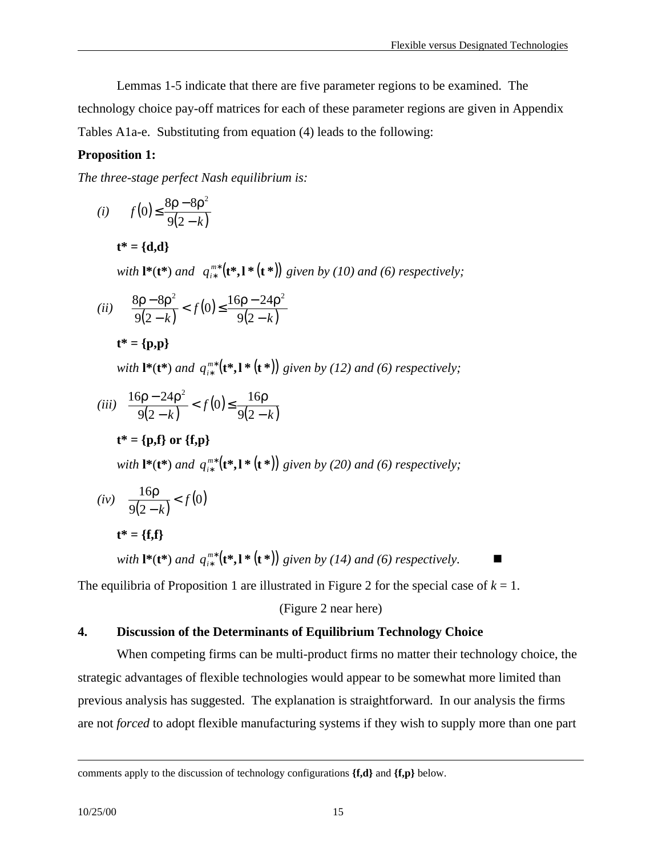Lemmas 1-5 indicate that there are five parameter regions to be examined. The

technology choice pay-off matrices for each of these parameter regions are given in Appendix Tables A1a-e. Substituting from equation (4) leads to the following:

## **Proposition 1:**

*The three-stage perfect Nash equilibrium is:*

$$
(i) \qquad f(0) \le \frac{8\rho - 8\rho^2}{9(2-k)}
$$

**t\* = {d,d}**

 $with \, \mathbf{l}^*(\mathbf{t}^*) \, and \, q_{i*}^{m*}(\mathbf{t}^*, \mathbf{l}^*(\mathbf{t}^*))$ ∗  $q_{i*}^{m*}$  (**t**\*, **l** \* (**t** \*)) given by (10) and (6) respectively;

$$
(ii) \quad \frac{8\rho - 8\rho^2}{9(2-k)} < f(0) \le \frac{16\rho - 24\rho^2}{9(2-k)}
$$

**t\* = {p,p}**

 $with$  **l**\*(**t**\*) and  $q_{i*}^{m*}$  (**t**\*,**l** \* (**t**\*)) ∗  $q_{i*}^{m*}$  (**t**\*, **l** \* (**t** \*)) given by (12) and (6) respectively;

(iii) 
$$
\frac{16p - 24p^2}{9(2-k)} < f(0) \le \frac{16p}{9(2-k)}
$$
  

$$
t^* = \{p, f\} \text{ or } \{f, p\}
$$

with 
$$
\mathbf{l}^*(\mathbf{t}^*)
$$
 and  $q_{i^*}^{m^*}(\mathbf{t}^*, \mathbf{l}^*(\mathbf{t}^*))$  given by (20) and (6) respectively;

$$
(iv) \quad \frac{16\rho}{9(2-k)} < f(0)
$$
\n
$$
\mathbf{t}^* = \{\mathbf{f}, \mathbf{f}\}\tag{4.33}
$$

 $with$  **l**\*(**t**\*) and  $q_{i*}^{m*}$  (**t**\*,**l** \* (**t**\*)) ∗  $q_{i*}^{m*}$  (**t**\*, **l** \* (**t** \*)) given by (14) and (6) respectively.

The equilibria of Proposition 1 are illustrated in Figure 2 for the special case of  $k = 1$ .

(Figure 2 near here)

## **4. Discussion of the Determinants of Equilibrium Technology Choice**

When competing firms can be multi-product firms no matter their technology choice, the strategic advantages of flexible technologies would appear to be somewhat more limited than previous analysis has suggested. The explanation is straightforward. In our analysis the firms are not *forced* to adopt flexible manufacturing systems if they wish to supply more than one part

comments apply to the discussion of technology configurations **{f,d}** and **{f,p}** below.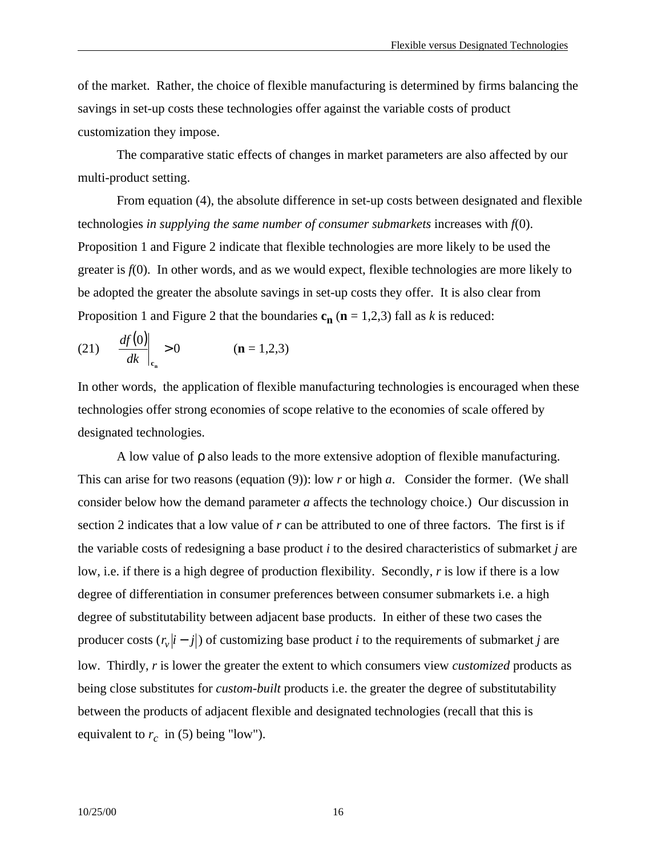of the market. Rather, the choice of flexible manufacturing is determined by firms balancing the savings in set-up costs these technologies offer against the variable costs of product customization they impose.

The comparative static effects of changes in market parameters are also affected by our multi-product setting.

From equation (4), the absolute difference in set-up costs between designated and flexible technologies *in supplying the same number of consumer submarkets* increases with *f*(0). Proposition 1 and Figure 2 indicate that flexible technologies are more likely to be used the greater is *f*(0). In other words, and as we would expect, flexible technologies are more likely to be adopted the greater the absolute savings in set-up costs they offer. It is also clear from Proposition 1 and Figure 2 that the boundaries  $c_n$  ( $n = 1,2,3$ ) fall as *k* is reduced:

(21) 
$$
\left. \frac{df(0)}{dk} \right|_{c_n} > 0
$$
 (**n** = 1,2,3)

In other words, the application of flexible manufacturing technologies is encouraged when these technologies offer strong economies of scope relative to the economies of scale offered by designated technologies.

A low value of ρ also leads to the more extensive adoption of flexible manufacturing. This can arise for two reasons (equation (9)): low *r* or high *a*. Consider the former. (We shall consider below how the demand parameter *a* affects the technology choice.) Our discussion in section 2 indicates that a low value of *r* can be attributed to one of three factors. The first is if the variable costs of redesigning a base product *i* to the desired characteristics of submarket *j* are low, i.e. if there is a high degree of production flexibility. Secondly, *r* is low if there is a low degree of differentiation in consumer preferences between consumer submarkets i.e. a high degree of substitutability between adjacent base products. In either of these two cases the producer costs  $(r_v|i-j|)$  of customizing base product *i* to the requirements of submarket *j* are low. Thirdly, *r* is lower the greater the extent to which consumers view *customized* products as being close substitutes for *custom-built* products i.e. the greater the degree of substitutability between the products of adjacent flexible and designated technologies (recall that this is equivalent to  $r_c$  in (5) being "low").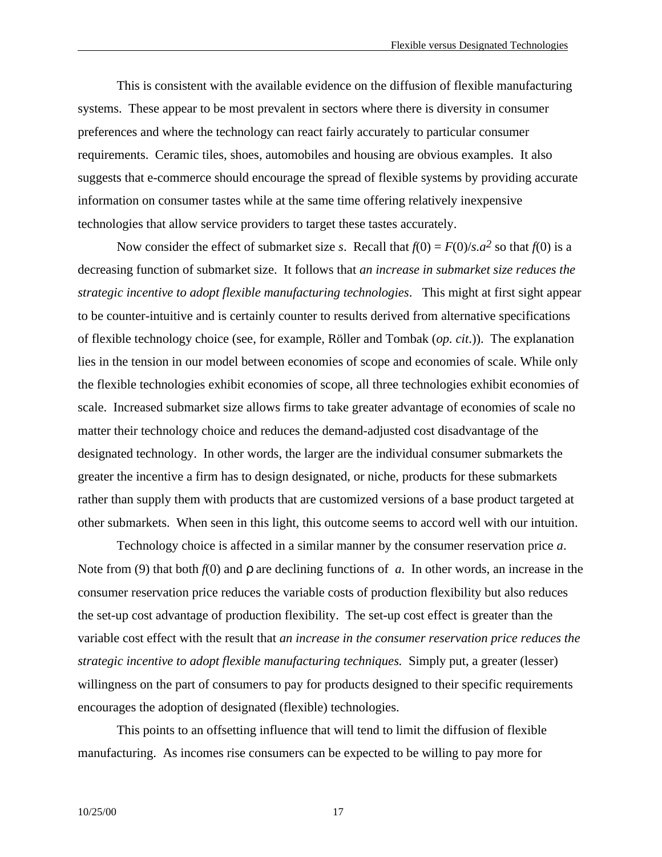This is consistent with the available evidence on the diffusion of flexible manufacturing systems. These appear to be most prevalent in sectors where there is diversity in consumer preferences and where the technology can react fairly accurately to particular consumer requirements. Ceramic tiles, shoes, automobiles and housing are obvious examples. It also suggests that e-commerce should encourage the spread of flexible systems by providing accurate information on consumer tastes while at the same time offering relatively inexpensive technologies that allow service providers to target these tastes accurately.

Now consider the effect of submarket size *s*. Recall that  $f(0) = F(0)/s.a^2$  so that  $f(0)$  is a decreasing function of submarket size. It follows that *an increase in submarket size reduces the strategic incentive to adopt flexible manufacturing technologies*. This might at first sight appear to be counter-intuitive and is certainly counter to results derived from alternative specifications of flexible technology choice (see, for example, Röller and Tombak (*op. cit*.)). The explanation lies in the tension in our model between economies of scope and economies of scale. While only the flexible technologies exhibit economies of scope, all three technologies exhibit economies of scale. Increased submarket size allows firms to take greater advantage of economies of scale no matter their technology choice and reduces the demand-adjusted cost disadvantage of the designated technology. In other words, the larger are the individual consumer submarkets the greater the incentive a firm has to design designated, or niche, products for these submarkets rather than supply them with products that are customized versions of a base product targeted at other submarkets. When seen in this light, this outcome seems to accord well with our intuition.

Technology choice is affected in a similar manner by the consumer reservation price *a*. Note from (9) that both *f*(0) and ρ are declining functions of *a*. In other words, an increase in the consumer reservation price reduces the variable costs of production flexibility but also reduces the set-up cost advantage of production flexibility. The set-up cost effect is greater than the variable cost effect with the result that *an increase in the consumer reservation price reduces the strategic incentive to adopt flexible manufacturing techniques.* Simply put, a greater (lesser) willingness on the part of consumers to pay for products designed to their specific requirements encourages the adoption of designated (flexible) technologies.

This points to an offsetting influence that will tend to limit the diffusion of flexible manufacturing. As incomes rise consumers can be expected to be willing to pay more for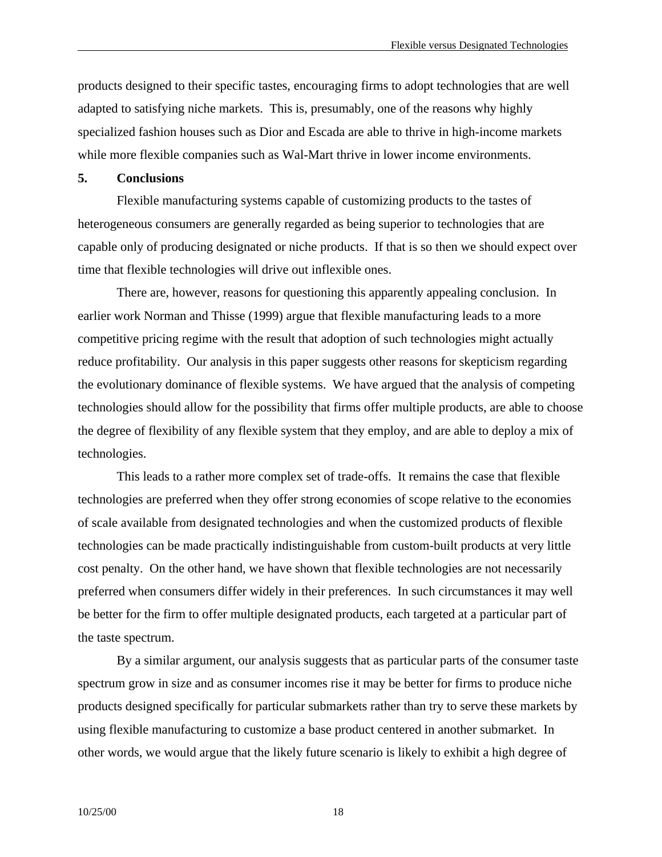products designed to their specific tastes, encouraging firms to adopt technologies that are well adapted to satisfying niche markets. This is, presumably, one of the reasons why highly specialized fashion houses such as Dior and Escada are able to thrive in high-income markets while more flexible companies such as Wal-Mart thrive in lower income environments.

#### **5. Conclusions**

Flexible manufacturing systems capable of customizing products to the tastes of heterogeneous consumers are generally regarded as being superior to technologies that are capable only of producing designated or niche products. If that is so then we should expect over time that flexible technologies will drive out inflexible ones.

There are, however, reasons for questioning this apparently appealing conclusion. In earlier work Norman and Thisse (1999) argue that flexible manufacturing leads to a more competitive pricing regime with the result that adoption of such technologies might actually reduce profitability. Our analysis in this paper suggests other reasons for skepticism regarding the evolutionary dominance of flexible systems. We have argued that the analysis of competing technologies should allow for the possibility that firms offer multiple products, are able to choose the degree of flexibility of any flexible system that they employ, and are able to deploy a mix of technologies.

This leads to a rather more complex set of trade-offs. It remains the case that flexible technologies are preferred when they offer strong economies of scope relative to the economies of scale available from designated technologies and when the customized products of flexible technologies can be made practically indistinguishable from custom-built products at very little cost penalty. On the other hand, we have shown that flexible technologies are not necessarily preferred when consumers differ widely in their preferences. In such circumstances it may well be better for the firm to offer multiple designated products, each targeted at a particular part of the taste spectrum.

By a similar argument, our analysis suggests that as particular parts of the consumer taste spectrum grow in size and as consumer incomes rise it may be better for firms to produce niche products designed specifically for particular submarkets rather than try to serve these markets by using flexible manufacturing to customize a base product centered in another submarket. In other words, we would argue that the likely future scenario is likely to exhibit a high degree of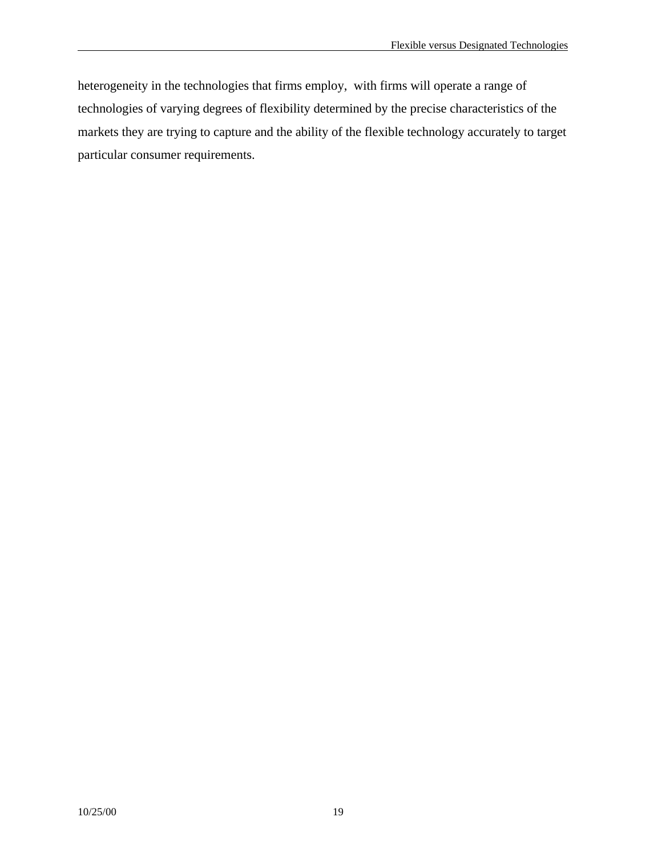heterogeneity in the technologies that firms employ, with firms will operate a range of technologies of varying degrees of flexibility determined by the precise characteristics of the markets they are trying to capture and the ability of the flexible technology accurately to target particular consumer requirements.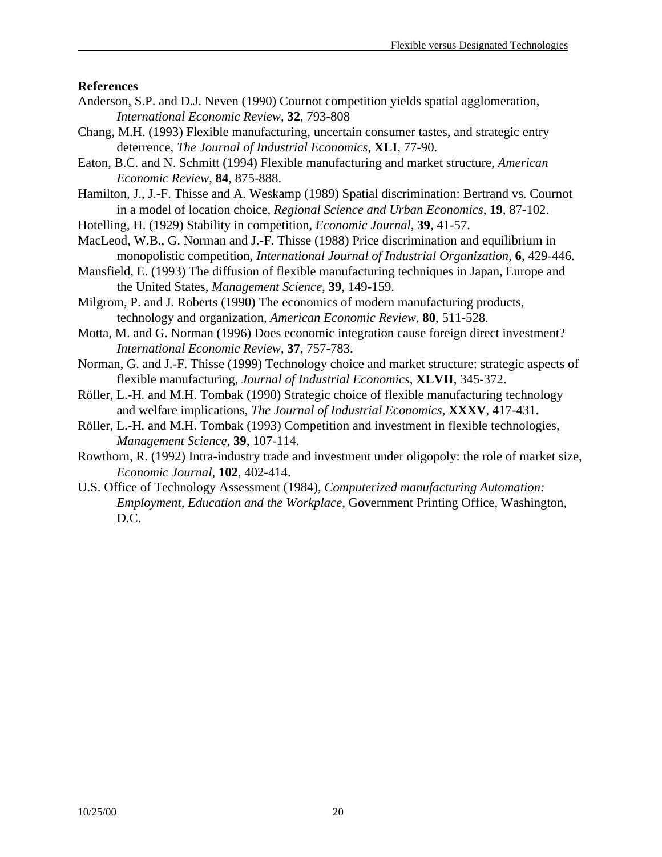#### **References**

- Anderson, S.P. and D.J. Neven (1990) Cournot competition yields spatial agglomeration, *International Economic Review*, **32**, 793-808
- Chang, M.H. (1993) Flexible manufacturing, uncertain consumer tastes, and strategic entry deterrence, *The Journal of Industrial Economics*, **XLI**, 77-90.
- Eaton, B.C. and N. Schmitt (1994) Flexible manufacturing and market structure, *American Economic Review*, **84**, 875-888.
- Hamilton, J., J.-F. Thisse and A. Weskamp (1989) Spatial discrimination: Bertrand vs. Cournot in a model of location choice, *Regional Science and Urban Economics*, **19**, 87-102.
- Hotelling, H. (1929) Stability in competition, *Economic Journal*, **39**, 41-57.
- MacLeod, W.B., G. Norman and J.-F. Thisse (1988) Price discrimination and equilibrium in monopolistic competition, *International Journal of Industrial Organization*, **6**, 429-446.
- Mansfield, E. (1993) The diffusion of flexible manufacturing techniques in Japan, Europe and the United States, *Management Science*, **39**, 149-159.
- Milgrom, P. and J. Roberts (1990) The economics of modern manufacturing products, technology and organization, *American Economic Review*, **80**, 511-528.
- Motta, M. and G. Norman (1996) Does economic integration cause foreign direct investment? *International Economic Review*, **37**, 757-783.
- Norman, G. and J.-F. Thisse (1999) Technology choice and market structure: strategic aspects of flexible manufacturing, *Journal of Industrial Economics*, **XLVII**, 345-372.
- Röller, L.-H. and M.H. Tombak (1990) Strategic choice of flexible manufacturing technology and welfare implications, *The Journal of Industrial Economics*, **XXXV**, 417-431.
- Röller, L.-H. and M.H. Tombak (1993) Competition and investment in flexible technologies, *Management Science*, **39**, 107-114.
- Rowthorn, R. (1992) Intra-industry trade and investment under oligopoly: the role of market size, *Economic Journal*, **102**, 402-414.
- U.S. Office of Technology Assessment (1984), *Computerized manufacturing Automation: Employment, Education and the Workplace*, Government Printing Office, Washington, D.C.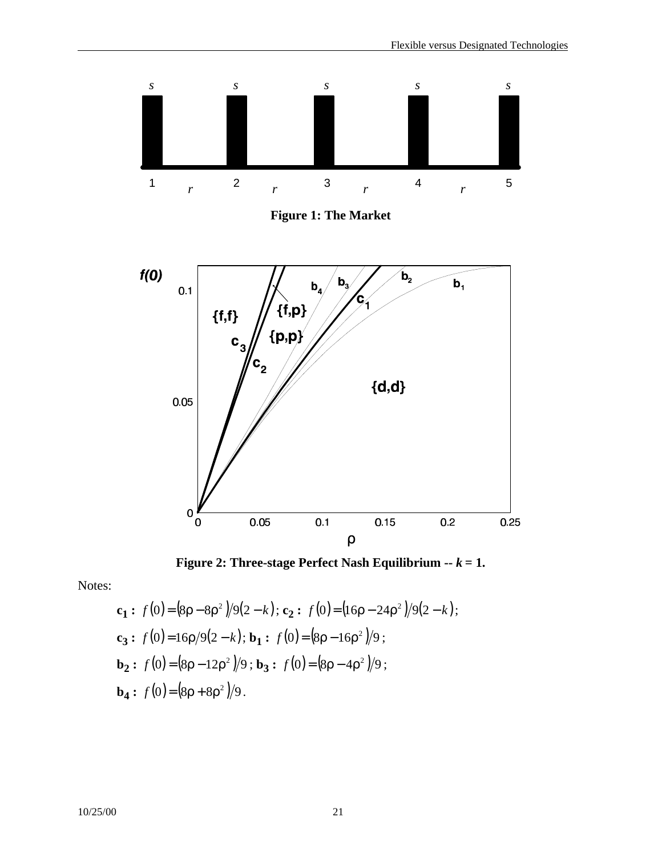

**Figure 2: Three-stage Perfect Nash Equilibrium --** *k* **= 1.**

Notes:

$$
\mathbf{c_1}: f(0) = (8\rho - 8\rho^2)/9(2 - k); \mathbf{c_2}: f(0) = (16\rho - 24\rho^2)/9(2 - k);
$$
  
\n
$$
\mathbf{c_3}: f(0) = 16\rho/9(2 - k); \mathbf{b_1}: f(0) = (8\rho - 16\rho^2)/9;
$$
  
\n
$$
\mathbf{b_2}: f(0) = (8\rho - 12\rho^2)/9; \mathbf{b_3}: f(0) = (8\rho - 4\rho^2)/9;
$$
  
\n
$$
\mathbf{b_4}: f(0) = (8\rho + 8\rho^2)/9.
$$

10/25/00 21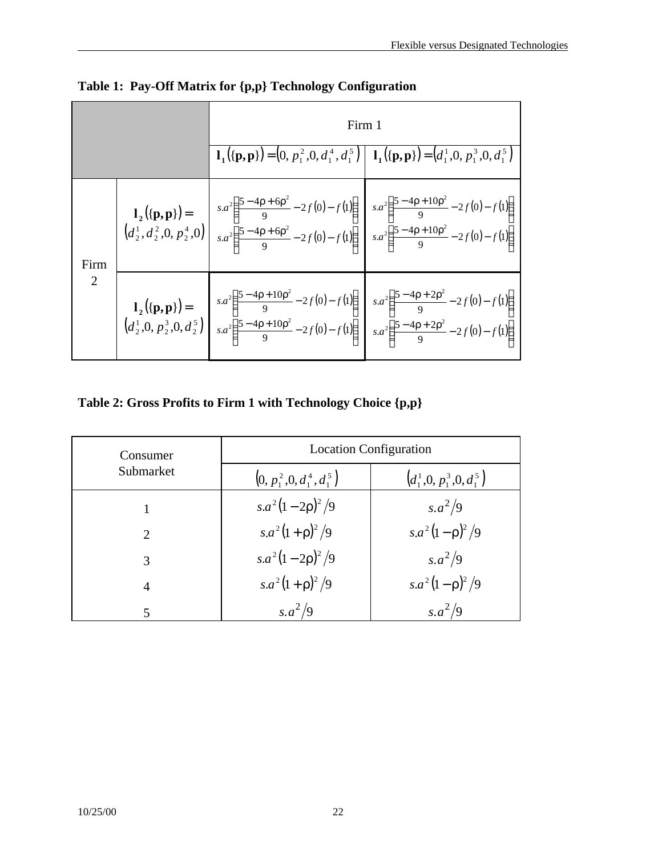|           |  | Firm 1                                                                                                                                                                                                                                                                                                                                                                        |                                                                                                                 |
|-----------|--|-------------------------------------------------------------------------------------------------------------------------------------------------------------------------------------------------------------------------------------------------------------------------------------------------------------------------------------------------------------------------------|-----------------------------------------------------------------------------------------------------------------|
|           |  |                                                                                                                                                                                                                                                                                                                                                                               | $\mathbf{l}_1({\{p,p\}}) = (0, p_1^2, 0, d_1^4, d_1^5)   \mathbf{l}_1({\{p,p\}}) = (d_1^1, 0, p_1^3, 0, d_1^5)$ |
| Firm<br>2 |  | <b>1</b> <sub>2</sub> ({ <b>p</b> , <b>p</b> })=<br>$\begin{pmatrix} d_2^1, d_2^2, 0, p_2^4, 0 \end{pmatrix}$ $\begin{pmatrix} s.a^2 \left( \frac{5-4p+6p^2}{9} - 2f(0) - f(1) \right) & s.a^2 \left( \frac{5-4p+10p^2}{9} - 2f(0) - f(1) \right) \\ s.a^2 \left( \frac{5-4p+6p^2}{9} - 2f(0) - f(1) \right) & s.a^2 \left( \frac{5-4p+10p^2}{9} - 2f(0) - f(1) \right) \end$ |                                                                                                                 |
|           |  | <b>1</b> <sub>2</sub> ({ <b>p</b> , <b>p</b> })=<br>$\begin{bmatrix} d_2^1, 0, p_2^3, 0, d_2^5 \end{bmatrix}$ $\begin{bmatrix} sa^2 \left( \frac{5 - 4p + 10p^2}{9} - 2f(0) - f(1) \right) & s.a^2 \left( \frac{5 - 4p + 2p^2}{9} - 2f(0) - f(1) \right) \\ sa^2 \left( \frac{5 - 4p + 10p^2}{9} - 2f(0) - f(1) \right) & s.a^2 \left( \frac{5 - 4p + 2p^2}{9} - 2f(0) - f(1$ |                                                                                                                 |

**Table 1: Pay-Off Matrix for {p,p} Technology Configuration**

# **Table 2: Gross Profits to Firm 1 with Technology Choice {p,p}**

| Consumer                    | <b>Location Configuration</b> |                                      |  |
|-----------------------------|-------------------------------|--------------------------------------|--|
| Submarket                   | $(0, p_1^2, 0, d_1^4, d_1^5)$ | $\left(d_1^1,0,p_1^3,0,d_1^5\right)$ |  |
|                             | $s.a^2(1-2\rho)^2/9$          | $s.a^2/9$                            |  |
| $\mathcal{D}_{\mathcal{L}}$ | $s.a^2(1+\rho)^2/9$           | $s.a^2(1-\rho)^2/9$                  |  |
| 3                           | $s.a^2(1-2\rho)^2/9$          | $s.a^2/9$                            |  |
| 4                           | $s.a^2(1+\rho)^2/9$           | $s.a^2(1-\rho)^2/9$                  |  |
| 5                           | $s.a^2/9$                     | $s.a^2/9$                            |  |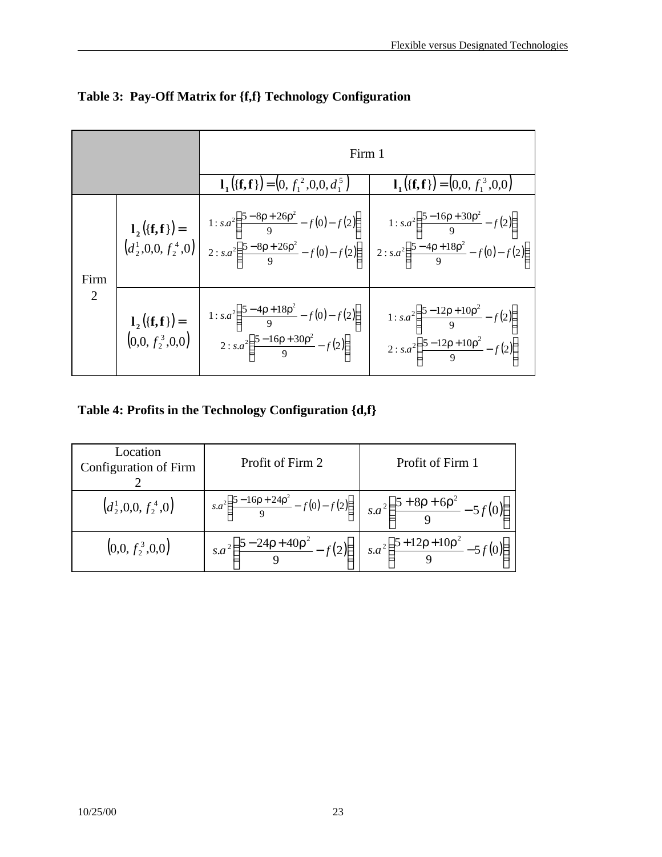|           |                                              | Firm 1                                                                                                                                                                                                                                                                                                                                                                                                  |                                                                  |  |
|-----------|----------------------------------------------|---------------------------------------------------------------------------------------------------------------------------------------------------------------------------------------------------------------------------------------------------------------------------------------------------------------------------------------------------------------------------------------------------------|------------------------------------------------------------------|--|
|           |                                              | $\mathbf{l}_1({\mathbf{f}}, {\mathbf{f}}) = (0, f_1^2, 0, 0, d_1^5)$                                                                                                                                                                                                                                                                                                                                    | $\mathbf{l}_1({\mathbf{f}}, {\mathbf{f}}) = (0, 0, f_1^3, 0, 0)$ |  |
| Firm<br>2 |                                              | <b>1</b> <sub>2</sub> ({ <b>f</b> , <b>f</b> })=<br>$\begin{bmatrix} d_2^1(0,0, f_2^4,0) \end{bmatrix}$<br>$\begin{bmatrix} 1: s.a^2 \left( \frac{5-8\rho+26\rho^2}{9} - f(0) - f(2) \right) \\ 2: s.a^2 \left( \frac{5-8\rho+26\rho^2}{9} - f(0) - f(2) \right) \end{bmatrix}$<br>$\begin{bmatrix} 1: s.a^2 \left( \frac{5-16\rho+30\rho^2}{9} - f(2) \right) \\ 2: s.a^2 \left( \frac{5-4\rho+18\rho$ |                                                                  |  |
|           | $l_2({\bf f},{\bf f})=$<br>$(0,0,f_2^3,0,0)$ | 1: $s.a^2\left(\frac{5-4\rho+18\rho^2}{9}-f(0)-f(2)\right)$<br>$2: s.a^2\left(\frac{5-16\rho+30\rho^2}{9}-f(2)\right)$<br>$2: s.a^2\left(\frac{5-12\rho+10\rho^2}{9}-f(2)\right)$<br>$2: s.a^2\left(\frac{5-12\rho+10\rho^2}{9}-f(2)\right)$                                                                                                                                                            |                                                                  |  |

**Table 3: Pay-Off Matrix for {f,f} Technology Configuration**

**Table 4: Profits in the Technology Configuration {d,f}**

| Location<br>Configuration of Firm | Profit of Firm 2                                                                                                          | Profit of Firm 1                                   |
|-----------------------------------|---------------------------------------------------------------------------------------------------------------------------|----------------------------------------------------|
| $(d_2^1, 0, 0, f_2^4, 0)$         | $\int s.a^2\left(\frac{5-16\rho+24\rho^2}{9}-f(0)-f(2)\right)\Big _{s.}a^2\left(\frac{5+8\rho+6\rho^2}{9}-5f(0)\right)^3$ |                                                    |
| $(0,0, f_2^3, 0, 0)$              | $s.a^2\left(\frac{5-24\rho+40\rho^2}{s.\rho+40\rho^2}\right)$                                                             | $s.a^2\left(\frac{5+12\rho+10\rho^2}{2}-5f\right)$ |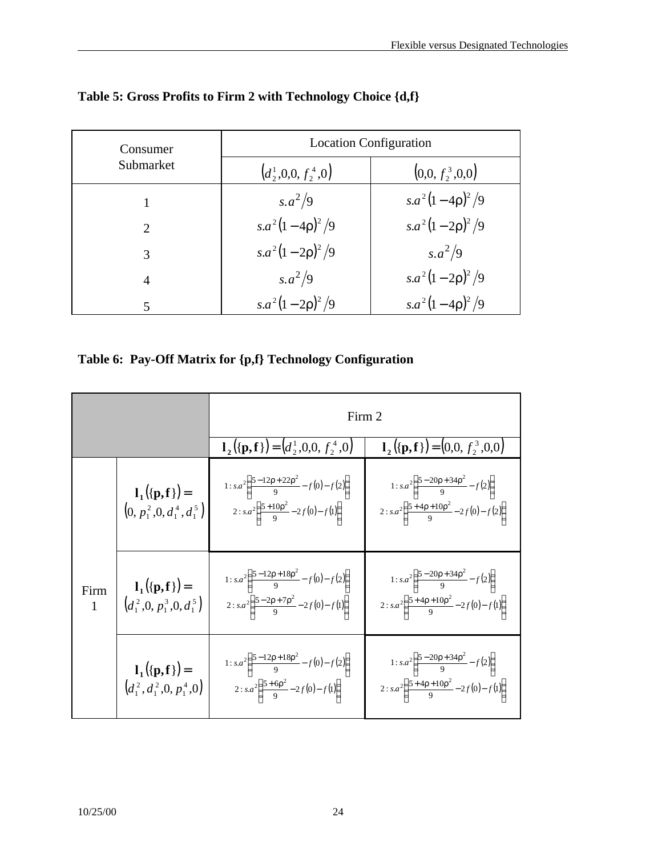| Consumer       | <b>Location Configuration</b>    |                      |  |
|----------------|----------------------------------|----------------------|--|
| Submarket      | $\left(d_2^1,0,0,f_2^4,0\right)$ | $(0,0, f_2^3,0,0)$   |  |
|                | $s.a^2/9$                        | $s.a^2(1-4\rho)^2/9$ |  |
| $\overline{2}$ | $s.a^2(1-4\rho)^2/9$             | $s.a^2(1-2\rho)^2/9$ |  |
| 3              | $s.a^2(1-2\rho)^2/9$             | $s.a^2/9$            |  |
| 4              | $s.a^2/9$                        | $s.a^2(1-2\rho)^2/9$ |  |
| 5              | $s.a^2(1-2\rho)^2/9$             | $s.a^2(1-4\rho)^2/9$ |  |

# **Table 5: Gross Profits to Firm 2 with Technology Choice {d,f}**

**Table 6: Pay-Off Matrix for {p,f} Technology Configuration**

|                      |                                                                 | Firm 2                                                                                                                    |                                                                                                                             |  |
|----------------------|-----------------------------------------------------------------|---------------------------------------------------------------------------------------------------------------------------|-----------------------------------------------------------------------------------------------------------------------------|--|
|                      |                                                                 | $\mathbf{l}_2({\mathbf{p}}, {\mathbf{f}}) = (d_2^1, 0, 0, f_2^4, 0)$                                                      | $\mathbf{l}_2({\mathbf{p}}, {\mathbf{f}}) = (0, 0, f_2^3, 0, 0)$                                                            |  |
|                      | $l_1({p, f}) =$<br>$(0, p_1^2, 0, d_1^4, d_1^5)$                | 1: $s.a^2\left(\frac{5-12\rho+22\rho^2}{9}-f(0)-f(2)\right)$<br>2 : $s.a^2\left(\frac{5+10p^2}{9}-2f(0)-f(1)\right)$      | 1: $s.a^2\left(\frac{5-20\rho+34\rho^2}{9}-f(2)\right)$<br>$2: s.a^2\left(\frac{5+4p+10p^2}{9}-2f(0)-f(2)\right)$           |  |
| Firm<br>$\mathbf{1}$ | $l_1({p, f}) =$<br>$\left(d_1^2,0,p_1^3,0,d_1^5\right)$         | 1: $sa^2\left(\frac{5-12\rho+18\rho^2}{9}-f(0)-f(2)\right)$<br>2: $sa^2\left(\frac{5-2\rho+7\rho^2}{9}-2f(0)-f(1)\right)$ | 1: $s.a^2\left(\frac{5-20\rho+34\rho^2}{9}-f(2)\right)$<br>$2: s.a^{2}\left(\frac{5+4\rho+10\rho^{2}}{9}-2f(0)-f(1)\right)$ |  |
|                      | $l_1({\bf p},{\bf f})=$<br>$\left(d_1^2,d_1^2,0,p_1^4,0\right)$ | 1: $s.a^2\left(\frac{5-12\rho+18\rho^2}{9}-f(0)-f(2)\right)$<br>2: $s.a^2\left(\frac{5+6\rho^2}{9}-2f(0)-f(1)\right)$     | 1: $s.a^2\left(\frac{5-20\rho+34\rho^2}{9}-f(2)\right)$<br>2: $s.a^2\left(\frac{5+4p+10p^2}{9}-2f(0)-f(1)\right)$           |  |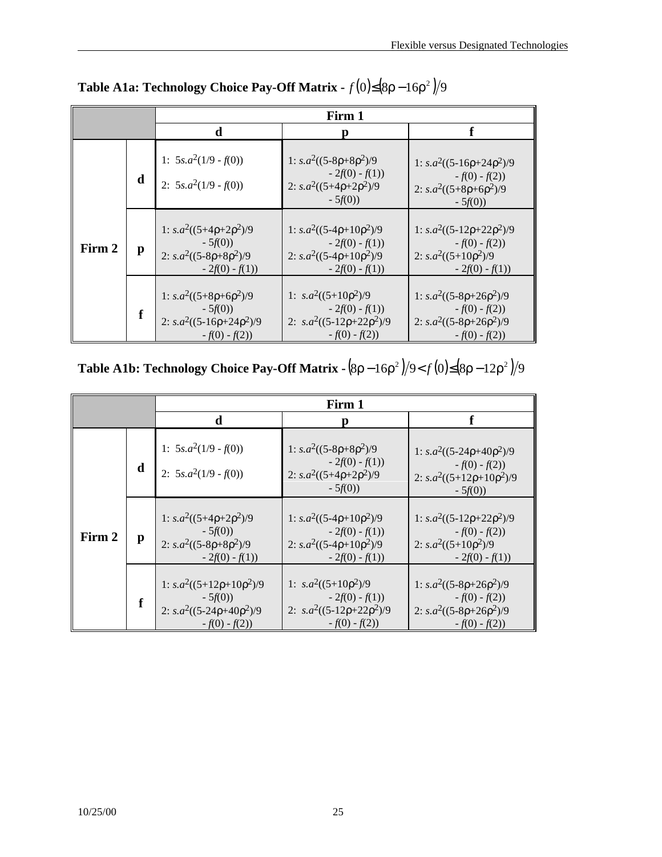|        |   | Firm 1                                                                                            |                                                                                                           |                                                                                                         |
|--------|---|---------------------------------------------------------------------------------------------------|-----------------------------------------------------------------------------------------------------------|---------------------------------------------------------------------------------------------------------|
|        |   | d                                                                                                 | Ŋ                                                                                                         |                                                                                                         |
|        | d | 1: $5s.a^2(1/9 - f(0))$<br>2: $5s.a^2(1/9 - f(0))$                                                | 1: $s.a^2((5-8\rho+8\rho^2)/9)$<br>$-2f(0) - f(1)$<br>2: $s.a^2((5+4p+2p^2)/9)$<br>$-5f(0)$               | 1: $s.a^2((5-16\rho+24\rho^2)/9$<br>$-f(0) - f(2)$<br>2: $s.a^2((5+8\rho+6\rho^2)/9)$<br>$-5f(0)$       |
| Firm 2 | p | 1: $s.a^2((5+4\rho+2\rho^2)/9$<br>$-5f(0)$<br>2: $s.a^2((5-8\rho+8\rho^2)/9)$<br>$-2f(0) - f(1)$  | 1: $s.a^2((5-4\rho+10\rho^2)/9$<br>$-2f(0) - f(1)$<br>2: $s.a^2((5-4\rho+10\rho^2)/9)$<br>$-2f(0) - f(1)$ | 1: $s.a^2((5-12\rho+22\rho^2)/9$<br>$-f(0) - f(2)$<br>2: $s.a^2((5+10p^2)/9)$<br>$-2f(0) - f(1)$        |
|        | f | 1: $s.a^2((5+8\rho+6\rho^2)/9)$<br>$-5f(0)$<br>2: $s.a^2((5-16\rho+24\rho^2)/9$<br>$-f(0) - f(2)$ | 1: $s.a^2((5+10p^2)/9)$<br>$-2f(0) - f(1)$<br>2: $s.a^2((5-12\rho+22\rho^2)/9$<br>$-f(0) - f(2)$          | 1: $s.a^2((5-8\rho+26\rho^2)/9$<br>$-f(0) - f(2)$<br>2: $s.a^2((5-8\rho+26\rho^2)/9)$<br>$-f(0) - f(2)$ |

**Table A1a: Technology Choice Pay-Off Matrix -** *f* **(0)≤(8ρ − 16ρ<sup>2</sup>)/9** 

**Table A1b: Technology Choice Pay-Off Matrix - (8ρ − 16ρ<sup>2</sup> )/9<** *f* **(0)≤(8ρ − 12ρ<sup>2</sup> )/9** 

|        |              | Firm 1                                                                                             |                                                                                                           |                                                                                                         |
|--------|--------------|----------------------------------------------------------------------------------------------------|-----------------------------------------------------------------------------------------------------------|---------------------------------------------------------------------------------------------------------|
|        |              | d                                                                                                  |                                                                                                           | f                                                                                                       |
|        | d            | 1: $5s.a^2(1/9 - f(0))$<br>2: $5s.a^2(1/9 - f(0))$                                                 | 1: $s.a^2((5-8\rho+8\rho^2)/9)$<br>$-2f(0) - f(1)$<br>2: $s.a^2((5+4p+2p^2)/9)$<br>$-5f(0)$               | 1: $s.a^2((5-24\rho+40\rho^2)/9$<br>$-f(0) - f(2)$<br>2: $s.a^2((5+12\rho+10\rho^2)/9$<br>$-5f(0)$      |
| Firm 2 | $\mathbf{p}$ | 1: $s.a^2((5+4\rho+2\rho^2)/9$<br>$-5f(0)$<br>2: $s.a^2((5-8\rho+8\rho^2)/9)$<br>$-2f(0) - f(1)$   | 1: $s.a^2((5-4\rho+10\rho^2)/9$<br>$-2f(0) - f(1)$<br>2: $s.a^2((5-4\rho+10\rho^2)/9)$<br>$-2f(0) - f(1)$ | 1: $s.a^2((5-12\rho+22\rho^2)/9$<br>$-f(0) - f(2)$<br>2: $s.a^2((5+10p^2)/9)$<br>$-2f(0) - f(1)$        |
|        |              | 1: $s.a^2((5+12\rho+10\rho^2)/9$<br>$-5f(0)$<br>2: $s.a^2((5-24\rho+40\rho^2)/9$<br>$-f(0) - f(2)$ | 1: $s.a^2((5+10p^2)/9)$<br>$-2f(0) - f(1)$<br>2: $s.a^2((5-12\rho+22\rho^2)/9$<br>$-f(0) - f(2)$          | 1: $s.a^2((5-8\rho+26\rho^2)/9$<br>$-f(0) - f(2)$<br>2: $s.a^2((5-8\rho+26\rho^2)/9)$<br>$-f(0) - f(2)$ |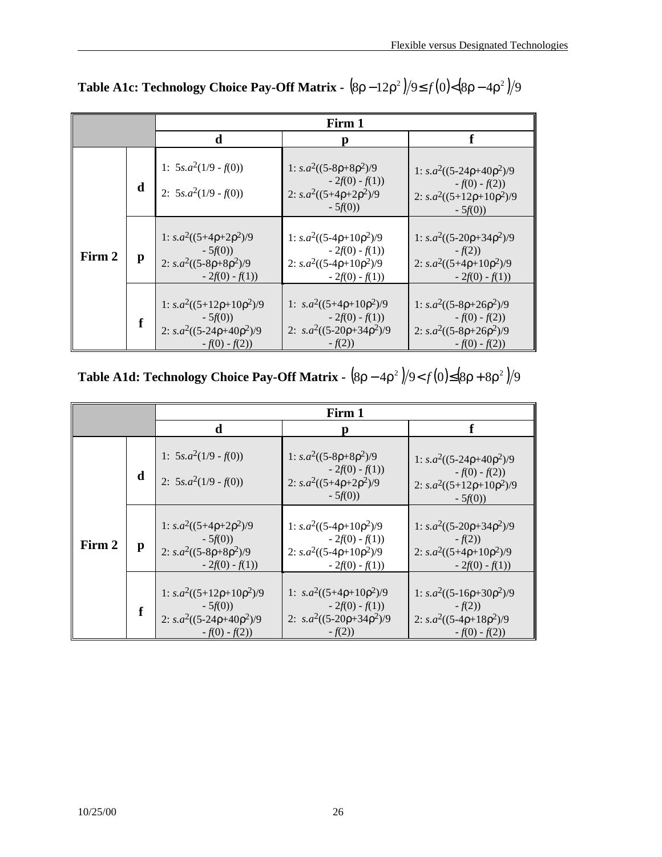|        |   | Firm 1                                                                                             |                                                                                                          |                                                                                                          |
|--------|---|----------------------------------------------------------------------------------------------------|----------------------------------------------------------------------------------------------------------|----------------------------------------------------------------------------------------------------------|
|        |   | d                                                                                                  | Ŋ                                                                                                        | f                                                                                                        |
|        | d | 1: $5s.a^2(1/9 - f(0))$<br>2: $5s.a^2(1/9 - f(0))$                                                 | 1: $s.a^2((5-8\rho+8\rho^2)/9)$<br>$-2f(0) - f(1)$<br>2: $s.a^2((5+4p+2p^2)/9)$<br>$-5f(0)$              | 1: $s.a^2((5-24\rho+40\rho^2)/9$<br>$-f(0) - f(2)$<br>2: $s.a^2((5+12\rho+10\rho^2)/9$<br>$-5f(0)$       |
| Firm 2 | p | 1: $s.a^2((5+4\rho+2\rho^2)/9$<br>$-5f(0)$<br>2: $s.a^2((5-8\rho+8\rho^2)/9)$<br>$-2f(0) - f(1)$   | 1: $s.a^2((5-4\rho+10\rho^2)/9$<br>$-2f(0) - f(1)$<br>2: $s.a^2((5-4\rho+10\rho^2)/9$<br>$-2f(0) - f(1)$ | 1: $s.a^2((5-20\rho+34\rho^2)/9$<br>$-f(2)$<br>2: $s.a^2((5+4\rho+10\rho^2)/9$<br>$-2f(0) - f(1)$        |
|        |   | 1: $s.a^2((5+12\rho+10\rho^2)/9$<br>$-5f(0)$<br>2: $s.a^2((5-24\rho+40\rho^2)/9$<br>$-f(0) - f(2)$ | 1: $s.a^2((5+4\rho+10\rho^2)/9$<br>$-2f(0) - f(1)$<br>2: $s.a^2((5-20\rho+34\rho^2)/9$<br>$-f(2)$        | 1: $s.a^2((5-8\rho+26\rho^2)/9$<br>$-f(0) - f(2)$<br>2: $s.a^2((5-8\rho+26\rho^2)/9)$<br>$-f(0) - f(2))$ |

**Table A1c: Technology Choice Pay-Off Matrix -**  $(8\rho - 12\rho^2)/9$ **≤**  $f(0) < (8\rho - 4\rho^2)/9$ 

**Table A1d: Technology Choice Pay-Off Matrix -**  $(8\rho - 4\rho^2)/9 < f(0) \leq (8\rho + 8\rho^2)/9$ 

|        |   | Firm 1                                                                                             |                                                                                                          |                                                                                                    |
|--------|---|----------------------------------------------------------------------------------------------------|----------------------------------------------------------------------------------------------------------|----------------------------------------------------------------------------------------------------|
|        |   | d                                                                                                  | D                                                                                                        | ₽                                                                                                  |
|        | d | 1: $5s.a^2(1/9 - f(0))$<br>2: $5s.a^2(1/9 - f(0))$                                                 | 1: $s.a^2((5-8\rho+8\rho^2)/9)$<br>$-2f(0) - f(1)$<br>2: $s.a^2((5+4\rho+2\rho^2)/9)$<br>$-5f(0)$        | 1: $s.a^2((5-24\rho+40\rho^2)/9$<br>$-f(0) - f(2)$<br>2: $s.a^2((5+12\rho+10\rho^2)/9$<br>$-5f(0)$ |
| Firm 2 | p | 1: $s.a^2((5+4\rho+2\rho^2)/9$<br>$-5f(0)$<br>2: $s.a^2((5-8\rho+8\rho^2)/9)$<br>$-2f(0) - f(1)$   | 1: $s.a^2((5-4\rho+10\rho^2)/9$<br>$-2f(0) - f(1)$<br>2: $s.a^2((5-4\rho+10\rho^2)/9$<br>$-2f(0) - f(1)$ | 1: $s.a^2((5-20\rho+34\rho^2)/9$<br>$-f(2)$<br>2: $s.a^2((5+4\rho+10\rho^2)/9$<br>$-2f(0) - f(1)$  |
|        | f | 1: $s.a^2((5+12\rho+10\rho^2)/9$<br>$-5f(0)$<br>2: $s.a^2((5-24\rho+40\rho^2)/9$<br>$-f(0) - f(2)$ | 1: $s.a^2((5+4\rho+10\rho^2)/9$<br>$-2f(0) - f(1)$<br>2: $s.a^2((5-20\rho+34\rho^2)/9)$<br>$-f(2)$       | 1: $s.a^2((5-16\rho+30\rho^2)/9$<br>$-f(2)$<br>2: $s.a^2((5-4\rho+18\rho^2)/9)$<br>$-f(0) - f(2)$  |